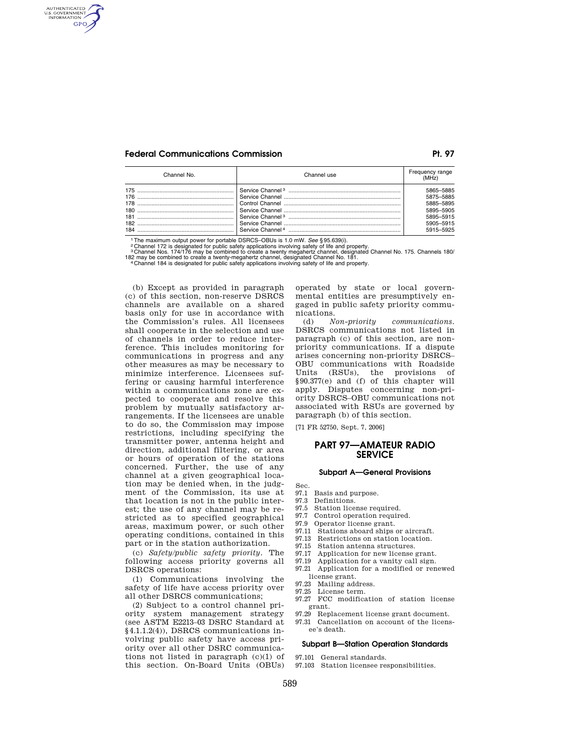# **Federal Communications Commission Pt. 97 and Pt. 97 and Pt. 97 and Pt. 97 and Pt. 97 and Pt. 97 and Pt. 97 and Pt. 97 and Pt. 97 and Pt. 97 and Pt. 97 and Pt. 97 and Pt. 97 and Pt. 97 and Pt. 97 and Pt. 97 and Pt. 97 and**

AUTHENTICATED<br>U.S. GOVERNMENT<br>INFORMATION **GPO** 

| Channel No. | Channel use | Frequency range<br>(MHz) |
|-------------|-------------|--------------------------|
|             |             | 5865-5885                |
|             |             | 5875-5885                |
|             |             | 5885-5895                |
|             |             | 5895-5905                |
|             |             | 5895-5915                |
|             |             | 5905-5915                |
|             |             | 5915-5925                |

<sup>1</sup> The maximum output power for portable DSRCS-OBUs is 1.0 mW. *See* § 95.639(i).<br><sup>2</sup> Channel 172 is designated for public safety applications involving safety of life and property.<br><sup>2</sup> Channel Nos. 174/176 may be combine

(b) Except as provided in paragraph (c) of this section, non-reserve DSRCS channels are available on a shared basis only for use in accordance with the Commission's rules. All licensees shall cooperate in the selection and use of channels in order to reduce interference. This includes monitoring for communications in progress and any other measures as may be necessary to minimize interference. Licensees suffering or causing harmful interference within a communications zone are expected to cooperate and resolve this problem by mutually satisfactory arrangements. If the licensees are unable to do so, the Commission may impose restrictions, including specifying the transmitter power, antenna height and direction, additional filtering, or area or hours of operation of the stations concerned. Further, the use of any channel at a given geographical location may be denied when, in the judgment of the Commission, its use at that location is not in the public interest; the use of any channel may be restricted as to specified geographical areas, maximum power, or such other operating conditions, contained in this part or in the station authorization.

(c) *Safety/public safety priority.* The following access priority governs all DSRCS operations:

(1) Communications involving the safety of life have access priority over all other DSRCS communications;

(2) Subject to a control channel priority system management strategy (see ASTM E2213–03 DSRC Standard at §4.1.1.2(4)), DSRCS communications involving public safety have access priority over all other DSRC communications not listed in paragraph (c)(1) of this section. On-Board Units (OBUs)

operated by state or local governmental entities are presumptively engaged in public safety priority communications.

(d) *Non-priority communications.*  DSRCS communications not listed in paragraph (c) of this section, are nonpriority communications. If a dispute arises concerning non-priority DSRCS– OBU communications with Roadside Units (RSUs), the provisions of §90.377(e) and (f) of this chapter will apply. Disputes concerning non-priority DSRCS–OBU communications not associated with RSUs are governed by paragraph (b) of this section.

[71 FR 52750, Sept. 7, 2006]

# **PART 97—AMATEUR RADIO SERVICE**

# **Subpart A—General Provisions**

- Sec.
- 97.1 Basis and purpose.
- 97.3 Definitions.<br>97.5 Station lice
- Station license required.
- 97.7 Control operation required.<br>97.9 Operator license grant
- 97.9 Operator license grant.
- 97.11 Stations aboard ships or aircraft.
- 97.13 Restrictions on station location.
- 97.15 Station antenna structures.
- 97.17 Application for new license grant.
- 97.19 Application for a vanity call sign. 97.21 Application for a modified or renewed
- license grant.
- 97.23 Mailing address.

ee's death.

- 97.25 License term.
- 97.27 FCC modification of station license grant.
- 97.29 Replacement license grant document. 97.31 Cancellation on account of the licens-

## **Subpart B—Station Operation Standards**

- 97.101 General standards.
- 97.103 Station licensee responsibilities.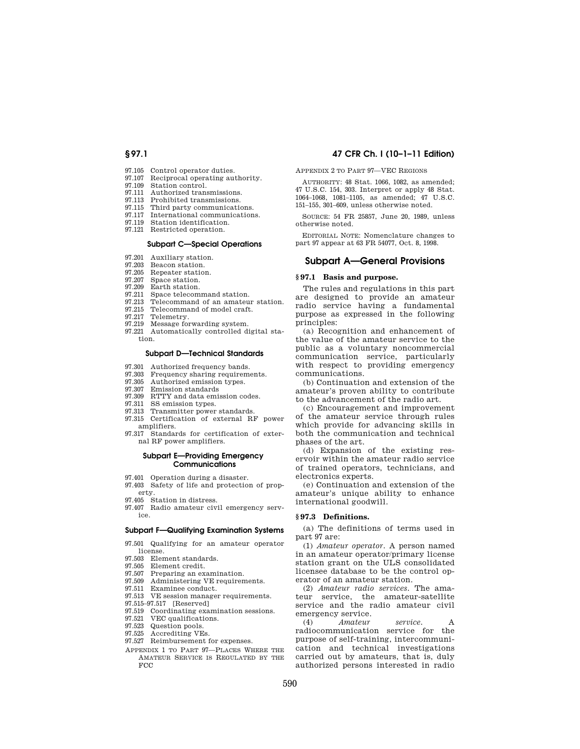- 97.105 Control operator duties.
- 97.107 Reciprocal operating authority.<br>97.109 Station control
- 97.109 Station control.<br>97.111 Authorized trans
- Authorized transmissions.
- 97.113 Prohibited transmissions.<br>97.115 Third party communication
- Third party communications.
- 97.117 International communications.
- 97.119 Station identification.
- 97.121 Restricted operation.

## **Subpart C—Special Operations**

- 97.201 Auxiliary station.
- 97.203 Beacon station.
- 97.205 Repeater station.<br>97.207 Space station
- Space station.
- 97.209 Earth station.
- 97.211 Space telecommand station.
- 97.213 Telecommand of an amateur station. 97.215 Telecommand of model craft.
- 97.217 Telemetry.
- 97.219 Message forwarding system.
- 97.221 Automatically controlled digital station.

#### **Subpart D—Technical Standards**

- 97.301 Authorized frequency bands.
- 97.303 Frequency sharing requirements.
- 97.305 Authorized emission types.<br>97.307 Emission standards
- 97.307 Emission standards
- 97.309 RTTY and data emission codes.
- 97.311 SS emission types.
- 97.313 Transmitter power standards.
- 97.315 Certification of external RF power amplifiers. 97.317 Standards for certification of exter-
- nal RF power amplifiers.

### **Subpart E—Providing Emergency Communications**

- 97.401 Operation during a disaster.
- 97.403 Safety of life and protection of property.
- 
- 97.405 Station in distress. 97.407 Radio amateur civil emergency service.

# **Subpart F—Qualifying Examination Systems**

97.501 Qualifying for an amateur operator license.

- 97.503 Element standards.
- 97.505 Element credit.
- 97.507 Preparing an examination.
- 97.509 Administering VE requirements.
- 97.511 Examinee conduct.
- 97.513 VE session manager requirements.
- 97.515–97.517 [Reserved]
- 97.519 Coordinating examination sessions. 97.521 VEC qualifications.
- 
- 97.523 Question pools.
- 97.525 Accrediting VEs.
- 97.527 Reimbursement for expenses.
- APPENDIX 1 TO PART 97—PLACES WHERE THE AMATEUR SERVICE IS REGULATED BY THE **FCC**

# **§ 97.1 47 CFR Ch. I (10–1–11 Edition)**

# APPENDIX 2 TO PART 97—VEC REGIONS

AUTHORITY: 48 Stat. 1066, 1082, as amended; 47 U.S.C. 154, 303. Interpret or apply 48 Stat. 1064–1068, 1081–1105, as amended; 47 U.S.C. 151–155, 301–609, unless otherwise noted.

SOURCE: 54 FR 25857, June 20, 1989, unless otherwise noted.

EDITORIAL NOTE: Nomenclature changes to part 97 appear at 63 FR 54077, Oct. 8, 1998.

## **Subpart A—General Provisions**

## **§ 97.1 Basis and purpose.**

The rules and regulations in this part are designed to provide an amateur radio service having a fundamental purpose as expressed in the following principles:

(a) Recognition and enhancement of the value of the amateur service to the public as a voluntary noncommercial communication service, particularly with respect to providing emergency communications.

(b) Continuation and extension of the amateur's proven ability to contribute to the advancement of the radio art.

(c) Encouragement and improvement of the amateur service through rules which provide for advancing skills in both the communication and technical phases of the art.

(d) Expansion of the existing reservoir within the amateur radio service of trained operators, technicians, and electronics experts.

(e) Continuation and extension of the amateur's unique ability to enhance international goodwill.

# **§ 97.3 Definitions.**

(a) The definitions of terms used in part 97 are:

(1) *Amateur operator.* A person named in an amateur operator/primary license station grant on the ULS consolidated licensee database to be the control operator of an amateur station.

(2) *Amateur radio services.* The amateur service, the amateur-satellite service and the radio amateur civil emergency service.<br>(4) *Amateur* 

(4) *Amateur service.* A radiocommunication service for the purpose of self-training, intercommunication and technical investigations carried out by amateurs, that is, duly authorized persons interested in radio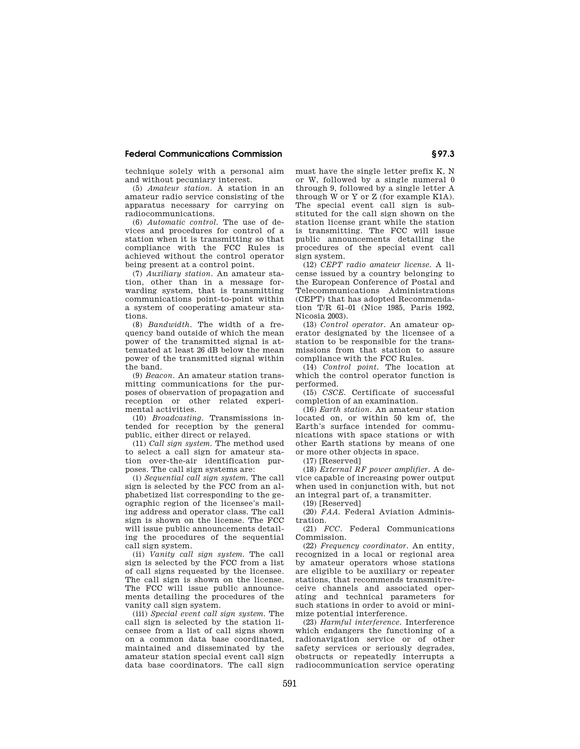technique solely with a personal aim and without pecuniary interest.

(5) *Amateur station.* A station in an amateur radio service consisting of the apparatus necessary for carrying on radiocommunications.

(6) *Automatic control.* The use of devices and procedures for control of a station when it is transmitting so that compliance with the FCC Rules is achieved without the control operator being present at a control point.

(7) *Auxiliary station.* An amateur station, other than in a message forwarding system, that is transmitting communications point-to-point within a system of cooperating amateur stations.

(8) *Bandwidth.* The width of a frequency band outside of which the mean power of the transmitted signal is attenuated at least 26 dB below the mean power of the transmitted signal within the band.

(9) *Beacon.* An amateur station transmitting communications for the purposes of observation of propagation and reception or other related experimental activities.

(10) *Broadcasting.* Transmissions intended for reception by the general public, either direct or relayed.

(11) *Call sign system.* The method used to select a call sign for amateur station over-the-air identification purposes. The call sign systems are:

(i) *Sequential call sign system.* The call sign is selected by the FCC from an alphabetized list corresponding to the geographic region of the licensee's mailing address and operator class. The call sign is shown on the license. The FCC will issue public announcements detailing the procedures of the sequential call sign system.

(ii) *Vanity call sign system.* The call sign is selected by the FCC from a list of call signs requested by the licensee. The call sign is shown on the license. The FCC will issue public announcements detailing the procedures of the vanity call sign system.

(iii) *Special event call sign system.* The call sign is selected by the station licensee from a list of call signs shown on a common data base coordinated, maintained and disseminated by the amateur station special event call sign data base coordinators. The call sign must have the single letter prefix K, N or W, followed by a single numeral 0 through 9, followed by a single letter A through W or Y or Z (for example K1A). The special event call sign is substituted for the call sign shown on the station license grant while the station is transmitting. The FCC will issue public announcements detailing the procedures of the special event call sign system.

(12) *CEPT radio amateur license.* A license issued by a country belonging to the European Conference of Postal and Telecommunications Administrations (CEPT) that has adopted Recommendation T/R 61–01 (Nice 1985, Paris 1992, Nicosia 2003).

(13) *Control operator.* An amateur operator designated by the licensee of a station to be responsible for the transmissions from that station to assure compliance with the FCC Rules.

(14) *Control point.* The location at which the control operator function is performed.

(15) *CSCE.* Certificate of successful completion of an examination.

(16) *Earth station.* An amateur station located on, or within 50 km of, the Earth's surface intended for communications with space stations or with other Earth stations by means of one or more other objects in space.

(17) [Reserved]

(18) *External RF power amplifier.* A device capable of increasing power output when used in conjunction with, but not an integral part of, a transmitter.

(19) [Reserved]

(20) *FAA.* Federal Aviation Administration.

(21) *FCC.* Federal Communications Commission.

(22) *Frequency coordinator.* An entity, recognized in a local or regional area by amateur operators whose stations are eligible to be auxiliary or repeater stations, that recommends transmit/receive channels and associated operating and technical parameters for such stations in order to avoid or minimize potential interference.

(23) *Harmful interference.* Interference which endangers the functioning of a radionavigation service or of other safety services or seriously degrades, obstructs or repeatedly interrupts a radiocommunication service operating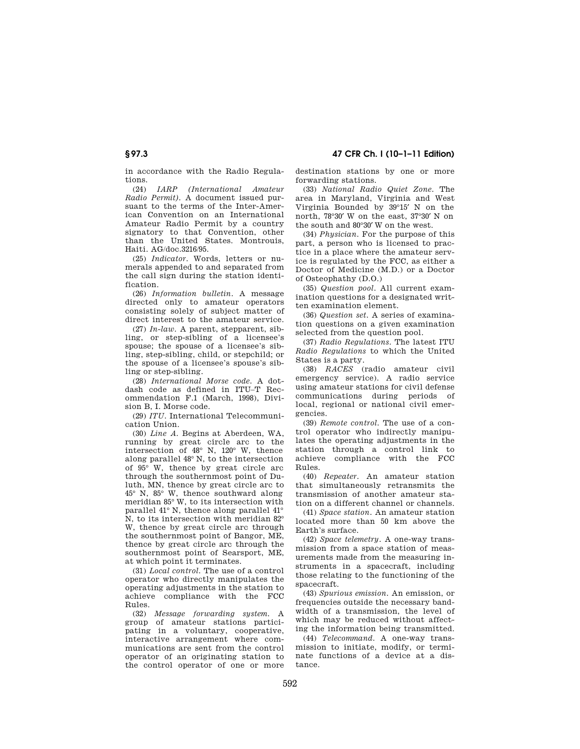in accordance with the Radio Regulations.

(24) *IARP (International Amateur Radio Permit).* A document issued pursuant to the terms of the Inter-American Convention on an International Amateur Radio Permit by a country signatory to that Convention, other than the United States. Montrouis, Haiti. AG/doc.3216/95.

(25) *Indicator.* Words, letters or numerals appended to and separated from the call sign during the station identification.

(26) *Information bulletin.* A message directed only to amateur operators consisting solely of subject matter of direct interest to the amateur service.

(27) *In-law.* A parent, stepparent, sibling, or step-sibling of a licensee's spouse; the spouse of a licensee's sibling, step-sibling, child, or stepchild; or the spouse of a licensee's spouse's sibling or step-sibling.

(28) *International Morse code.* A dotdash code as defined in ITU–T Recommendation F.1 (March, 1998), Division B, I. Morse code.

(29) *ITU.* International Telecommunication Union.

(30) *Line A.* Begins at Aberdeen, WA, running by great circle arc to the intersection of 48° N, 120° W, thence along parallel 48° N, to the intersection of  $95^\circ$  W, thence by great circle arc through the southernmost point of Duluth, MN, thence by great circle arc to 45° N, 85° W, thence southward along meridian 85° W, to its intersection with parallel 41° N, thence along parallel 41° N, to its intersection with meridian 82° W, thence by great circle arc through the southernmost point of Bangor, ME, thence by great circle arc through the southernmost point of Searsport, ME, at which point it terminates.

(31) *Local control.* The use of a control operator who directly manipulates the operating adjustments in the station to achieve compliance with the FCC Rules.

(32) *Message forwarding system.* A group of amateur stations participating in a voluntary, cooperative, interactive arrangement where communications are sent from the control operator of an originating station to the control operator of one or more destination stations by one or more forwarding stations.

(33) *National Radio Quiet Zone.* The area in Maryland, Virginia and West Virginia Bounded by 39°15′ N on the north, 78°30′ W on the east, 37°30′ N on the south and 80°30′ W on the west.

(34) *Physician.* For the purpose of this part, a person who is licensed to practice in a place where the amateur service is regulated by the FCC, as either a Doctor of Medicine (M.D.) or a Doctor of Osteophathy (D.O.)

(35) *Question pool.* All current examination questions for a designated written examination element.

(36) *Question set.* A series of examination questions on a given examination selected from the question pool.

(37) *Radio Regulations.* The latest ITU *Radio Regulations* to which the United States is a party.

(38) *RACES* (radio amateur civil emergency service). A radio service using amateur stations for civil defense communications during periods of local, regional or national civil emergencies.

(39) *Remote control.* The use of a control operator who indirectly manipulates the operating adjustments in the station through a control link to achieve compliance with the FCC Rules.

(40) *Repeater.* An amateur station that simultaneously retransmits the transmission of another amateur station on a different channel or channels.

(41) *Space station.* An amateur station located more than 50 km above the Earth's surface.

(42) *Space telemetry.* A one-way transmission from a space station of measurements made from the measuring instruments in a spacecraft, including those relating to the functioning of the spacecraft.

(43) *Spurious emission.* An emission, or frequencies outside the necessary bandwidth of a transmission, the level of which may be reduced without affecting the information being transmitted.

(44) *Telecommand.* A one-way transmission to initiate, modify, or terminate functions of a device at a distance.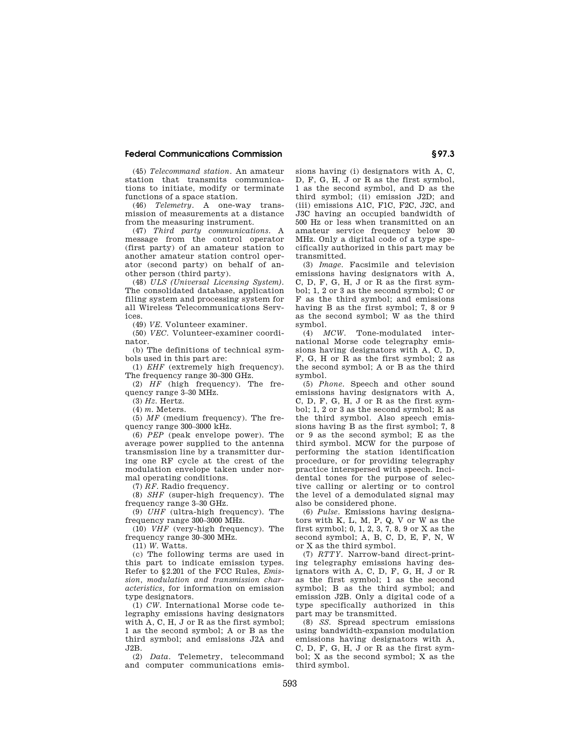(45) *Telecommand station.* An amateur station that transmits communications to initiate, modify or terminate functions of a space station.

(46) *Telemetry.* A one-way transmission of measurements at a distance from the measuring instrument.

(47) *Third party communications.* A message from the control operator (first party) of an amateur station to another amateur station control operator (second party) on behalf of another person (third party).

(48) *ULS (Universal Licensing System).*  The consolidated database, application filing system and processing system for all Wireless Telecommunications Services

(49) *VE.* Volunteer examiner.

(50) *VEC.* Volunteer-examiner coordinator.

(b) The definitions of technical symbols used in this part are:

(1) *EHF* (extremely high frequency). The frequency range 30–300 GHz.

(2) *HF* (high frequency). The frequency range 3–30 MHz.

(3) *Hz.* Hertz.

(4) *m.* Meters.

(5) *MF* (medium frequency). The frequency range 300–3000 kHz.

(6) *PEP* (peak envelope power). The average power supplied to the antenna transmission line by a transmitter during one RF cycle at the crest of the modulation envelope taken under normal operating conditions.

(7) *RF.* Radio frequency.

(8) *SHF* (super-high frequency). The frequency range 3–30 GHz.

(9) *UHF* (ultra-high frequency). The frequency range 300–3000 MHz.

(10) *VHF* (very-high frequency). The frequency range 30–300 MHz.

(11) *W.* Watts.

(c) The following terms are used in this part to indicate emission types. Refer to §2.201 of the FCC Rules, *Emission, modulation and transmission characteristics,* for information on emission type designators.

(1) *CW.* International Morse code telegraphy emissions having designators with A, C, H, J or R as the first symbol; 1 as the second symbol; A or B as the third symbol; and emissions J2A and J2B.

(2) *Data.* Telemetry, telecommand and computer communications emissions having (i) designators with A, C, D, F, G, H, J or R as the first symbol, 1 as the second symbol, and D as the third symbol; (ii) emission J2D; and (iii) emissions A1C, F1C, F2C, J2C, and J3C having an occupied bandwidth of 500 Hz or less when transmitted on an amateur service frequency below 30 MHz. Only a digital code of a type specifically authorized in this part may be transmitted.

(3) *Image.* Facsimile and television emissions having designators with A, C, D, F, G, H, J or R as the first symbol; 1, 2 or 3 as the second symbol;  $\tilde{C}$  or F as the third symbol; and emissions having B as the first symbol; 7, 8 or 9 as the second symbol; W as the third symbol.

(4) *MCW.* Tone-modulated international Morse code telegraphy emissions having designators with A, C, D, F, G, H or R as the first symbol; 2 as the second symbol; A or B as the third symbol.

(5) *Phone.* Speech and other sound emissions having designators with A, C, D, F, G, H, J or R as the first symbol; 1, 2 or 3 as the second symbol; E as the third symbol. Also speech emissions having B as the first symbol; 7, 8 or 9 as the second symbol; E as the third symbol. MCW for the purpose of performing the station identification procedure, or for providing telegraphy practice interspersed with speech. Incidental tones for the purpose of selective calling or alerting or to control the level of a demodulated signal may also be considered phone.

(6) *Pulse.* Emissions having designators with K, L, M, P, Q, V or W as the first symbol; 0, 1, 2, 3, 7, 8, 9 or X as the second symbol; A, B, C, D, E, F, N, W or X as the third symbol.

(7) *RTTY.* Narrow-band direct-printing telegraphy emissions having designators with A, C, D, F, G, H, J or R as the first symbol; 1 as the second symbol; B as the third symbol; and emission J2B. Only a digital code of a type specifically authorized in this part may be transmitted.

(8) *SS.* Spread spectrum emissions using bandwidth-expansion modulation emissions having designators with A, C, D, F, G, H, J or R as the first symbol; X as the second symbol; X as the third symbol.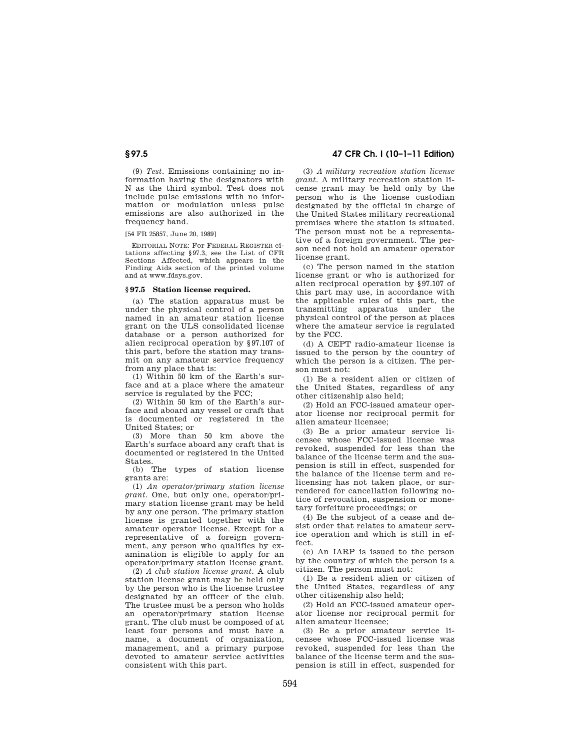**§ 97.5 47 CFR Ch. I (10–1–11 Edition)** 

(9) *Test.* Emissions containing no information having the designators with N as the third symbol. Test does not include pulse emissions with no information or modulation unless pulse emissions are also authorized in the frequency band.

[54 FR 25857, June 20, 1989]

EDITORIAL NOTE: For FEDERAL REGISTER citations affecting §97.3, see the List of CFR Sections Affected, which appears in the Finding Aids section of the printed volume and at www.fdsys.gov.

## **§ 97.5 Station license required.**

(a) The station apparatus must be under the physical control of a person named in an amateur station license grant on the ULS consolidated license database or a person authorized for alien reciprocal operation by §97.107 of this part, before the station may transmit on any amateur service frequency from any place that is:

(1) Within 50 km of the Earth's surface and at a place where the amateur service is regulated by the FCC;

(2) Within 50 km of the Earth's surface and aboard any vessel or craft that is documented or registered in the United States; or

(3) More than 50 km above the Earth's surface aboard any craft that is documented or registered in the United States.

(b) The types of station license grants are:

(1) *An operator/primary station license grant.* One, but only one, operator/primary station license grant may be held by any one person. The primary station license is granted together with the amateur operator license. Except for a representative of a foreign government, any person who qualifies by examination is eligible to apply for an operator/primary station license grant.

(2) *A club station license grant.* A club station license grant may be held only by the person who is the license trustee designated by an officer of the club. The trustee must be a person who holds an operator/primary station license grant. The club must be composed of at least four persons and must have a name, a document of organization, management, and a primary purpose devoted to amateur service activities consistent with this part.

(3) *A military recreation station license grant.* A military recreation station license grant may be held only by the person who is the license custodian designated by the official in charge of the United States military recreational premises where the station is situated. The person must not be a representative of a foreign government. The person need not hold an amateur operator license grant.

(c) The person named in the station license grant or who is authorized for alien reciprocal operation by §97.107 of this part may use, in accordance with the applicable rules of this part, the transmitting apparatus under the physical control of the person at places where the amateur service is regulated by the FCC.

(d) A CEPT radio-amateur license is issued to the person by the country of which the person is a citizen. The person must not:

(1) Be a resident alien or citizen of the United States, regardless of any other citizenship also held;

(2) Hold an FCC-issued amateur operator license nor reciprocal permit for alien amateur licensee;

(3) Be a prior amateur service licensee whose FCC-issued license was revoked, suspended for less than the balance of the license term and the suspension is still in effect, suspended for the balance of the license term and relicensing has not taken place, or surrendered for cancellation following notice of revocation, suspension or monetary forfeiture proceedings; or

(4) Be the subject of a cease and desist order that relates to amateur service operation and which is still in effect.

(e) An IARP is issued to the person by the country of which the person is a citizen. The person must not:

(1) Be a resident alien or citizen of the United States, regardless of any other citizenship also held;

(2) Hold an FCC-issued amateur operator license nor reciprocal permit for alien amateur licensee;

(3) Be a prior amateur service licensee whose FCC-issued license was revoked, suspended for less than the balance of the license term and the suspension is still in effect, suspended for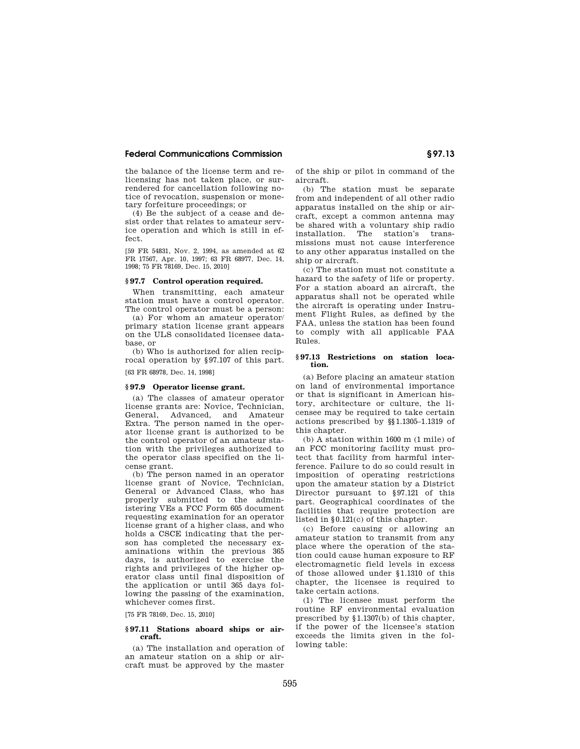the balance of the license term and relicensing has not taken place, or surrendered for cancellation following notice of revocation, suspension or monetary forfeiture proceedings; or

(4) Be the subject of a cease and desist order that relates to amateur service operation and which is still in effect.

[59 FR 54831, Nov. 2, 1994, as amended at 62 FR 17567, Apr. 10, 1997; 63 FR 68977, Dec. 14, 1998; 75 FR 78169, Dec. 15, 2010]

#### **§ 97.7 Control operation required.**

When transmitting, each amateur station must have a control operator. The control operator must be a person:

(a) For whom an amateur operator/ primary station license grant appears on the ULS consolidated licensee database, or

(b) Who is authorized for alien reciprocal operation by §97.107 of this part.

[63 FR 68978, Dec. 14, 1998]

# **§ 97.9 Operator license grant.**

(a) The classes of amateur operator license grants are: Novice, Technician, General, Advanced, and Amateur Extra. The person named in the operator license grant is authorized to be the control operator of an amateur station with the privileges authorized to the operator class specified on the license grant.

(b) The person named in an operator license grant of Novice, Technician, General or Advanced Class, who has properly submitted to the administering VEs a FCC Form 605 document requesting examination for an operator license grant of a higher class, and who holds a CSCE indicating that the person has completed the necessary examinations within the previous 365 days, is authorized to exercise the rights and privileges of the higher operator class until final disposition of the application or until 365 days following the passing of the examination, whichever comes first.

[75 FR 78169, Dec. 15, 2010]

#### **§ 97.11 Stations aboard ships or aircraft.**

(a) The installation and operation of an amateur station on a ship or aircraft must be approved by the master

of the ship or pilot in command of the aircraft.

(b) The station must be separate from and independent of all other radio apparatus installed on the ship or aircraft, except a common antenna may be shared with a voluntary ship radio installation. The station's transmissions must not cause interference to any other apparatus installed on the ship or aircraft.

(c) The station must not constitute a hazard to the safety of life or property. For a station aboard an aircraft, the apparatus shall not be operated while the aircraft is operating under Instrument Flight Rules, as defined by the FAA, unless the station has been found to comply with all applicable FAA Rules.

### **§ 97.13 Restrictions on station location.**

(a) Before placing an amateur station on land of environmental importance or that is significant in American history, architecture or culture, the licensee may be required to take certain actions prescribed by §§1.1305–1.1319 of this chapter.

(b) A station within 1600 m (1 mile) of an FCC monitoring facility must protect that facility from harmful interference. Failure to do so could result in imposition of operating restrictions upon the amateur station by a District Director pursuant to §97.121 of this part. Geographical coordinates of the facilities that require protection are listed in §0.121(c) of this chapter.

(c) Before causing or allowing an amateur station to transmit from any place where the operation of the station could cause human exposure to RF electromagnetic field levels in excess of those allowed under §1.1310 of this chapter, the licensee is required to take certain actions.

(1) The licensee must perform the routine RF environmental evaluation prescribed by §1.1307(b) of this chapter, if the power of the licensee's station exceeds the limits given in the following table: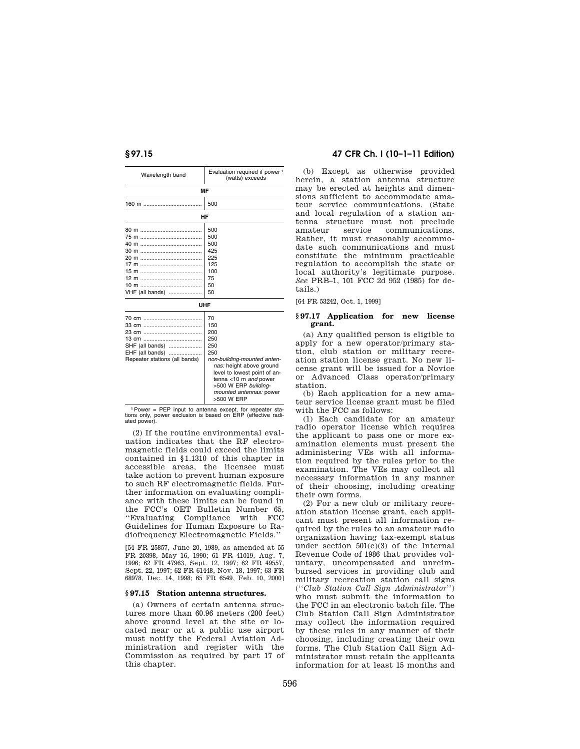| Wavelength band                                                     | Evaluation required if power <sup>1</sup><br>(watts) exceeds                                                                                                                                                                 |  |  |  |  |  |  |
|---------------------------------------------------------------------|------------------------------------------------------------------------------------------------------------------------------------------------------------------------------------------------------------------------------|--|--|--|--|--|--|
| MF                                                                  |                                                                                                                                                                                                                              |  |  |  |  |  |  |
| 160 m                                                               | 500                                                                                                                                                                                                                          |  |  |  |  |  |  |
| НF                                                                  |                                                                                                                                                                                                                              |  |  |  |  |  |  |
| VHF (all bands)                                                     | 500<br>500<br>500<br>425<br>225<br>125<br>100<br>75<br>50<br>50<br>UHF                                                                                                                                                       |  |  |  |  |  |  |
| SHF (all bands)<br>EHF (all bands)<br>Repeater stations (all bands) | 70<br>150<br>200<br>250<br>250<br>250<br>non-building-mounted anten-<br>nas: height above ground<br>level to lowest point of an-<br>tenna <10 $m$ and power<br>>500 W ERP building-<br>mounted antennas: power<br>>500 W ERP |  |  |  |  |  |  |

1Power = PEP input to antenna except, for repeater sta-tions only, power exclusion is based on ERP (effective radi-ated power).

(2) If the routine environmental evaluation indicates that the RF electromagnetic fields could exceed the limits contained in §1.1310 of this chapter in accessible areas, the licensee must take action to prevent human exposure to such RF electromagnetic fields. Further information on evaluating compliance with these limits can be found in the FCC's OET Bulletin Number 65, ''Evaluating Compliance with FCC Guidelines for Human Exposure to Radiofrequency Electromagnetic Fields.''

[54 FR 25857, June 20, 1989, as amended at 55 FR 20398, May 16, 1990; 61 FR 41019, Aug. 7, 1996; 62 FR 47963, Sept. 12, 1997; 62 FR 49557, Sept. 22, 1997; 62 FR 61448, Nov. 18, 1997; 63 FR 68978, Dec. 14, 1998; 65 FR 6549, Feb. 10, 2000]

#### **§ 97.15 Station antenna structures.**

(a) Owners of certain antenna structures more than 60.96 meters (200 feet) above ground level at the site or located near or at a public use airport must notify the Federal Aviation Administration and register with the Commission as required by part 17 of this chapter.

# **§ 97.15 47 CFR Ch. I (10–1–11 Edition)**

(b) Except as otherwise provided herein, a station antenna structure may be erected at heights and dimensions sufficient to accommodate amateur service communications. (State and local regulation of a station antenna structure must not preclude communications. Rather, it must reasonably accommodate such communications and must constitute the minimum practicable regulation to accomplish the state or local authority's legitimate purpose. *See* PRB–1, 101 FCC 2d 952 (1985) for details.)

[64 FR 53242, Oct. 1, 1999]

### **§ 97.17 Application for new license grant.**

(a) Any qualified person is eligible to apply for a new operator/primary station, club station or military recreation station license grant. No new license grant will be issued for a Novice or Advanced Class operator/primary station.

(b) Each application for a new amateur service license grant must be filed with the FCC as follows:

(1) Each candidate for an amateur radio operator license which requires the applicant to pass one or more examination elements must present the administering VEs with all information required by the rules prior to the examination. The VEs may collect all necessary information in any manner of their choosing, including creating their own forms.

(2) For a new club or military recreation station license grant, each applicant must present all information required by the rules to an amateur radio organization having tax-exempt status under section 501(c)(3) of the Internal Revenue Code of 1986 that provides voluntary, uncompensated and unreimbursed services in providing club and military recreation station call signs (''*Club Station Call Sign Administrator*'') who must submit the information to the FCC in an electronic batch file. The Club Station Call Sign Administrator may collect the information required by these rules in any manner of their choosing, including creating their own forms. The Club Station Call Sign Administrator must retain the applicants information for at least 15 months and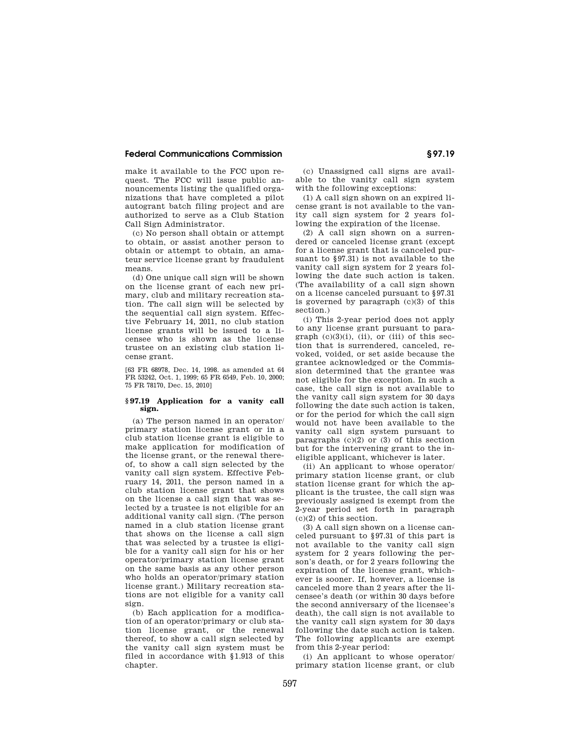make it available to the FCC upon request. The FCC will issue public announcements listing the qualified organizations that have completed a pilot autogrant batch filing project and are authorized to serve as a Club Station Call Sign Administrator.

(c) No person shall obtain or attempt to obtain, or assist another person to obtain or attempt to obtain, an amateur service license grant by fraudulent means.

(d) One unique call sign will be shown on the license grant of each new primary, club and military recreation station. The call sign will be selected by the sequential call sign system. Effective February 14, 2011, no club station license grants will be issued to a licensee who is shown as the license trustee on an existing club station license grant.

[63 FR 68978, Dec. 14, 1998. as amended at 64 FR 53242, Oct. 1, 1999; 65 FR 6549, Feb. 10, 2000; 75 FR 78170, Dec. 15, 2010]

#### **§ 97.19 Application for a vanity call sign.**

(a) The person named in an operator/ primary station license grant or in a club station license grant is eligible to make application for modification of the license grant, or the renewal thereof, to show a call sign selected by the vanity call sign system. Effective February 14, 2011, the person named in a club station license grant that shows on the license a call sign that was selected by a trustee is not eligible for an additional vanity call sign. (The person named in a club station license grant that shows on the license a call sign that was selected by a trustee is eligible for a vanity call sign for his or her operator/primary station license grant on the same basis as any other person who holds an operator/primary station license grant.) Military recreation stations are not eligible for a vanity call sign.

(b) Each application for a modification of an operator/primary or club station license grant, or the renewal thereof, to show a call sign selected by the vanity call sign system must be filed in accordance with §1.913 of this chapter

(c) Unassigned call signs are available to the vanity call sign system with the following exceptions:

(1) A call sign shown on an expired license grant is not available to the vanity call sign system for 2 years following the expiration of the license.

(2) A call sign shown on a surrendered or canceled license grant (except for a license grant that is canceled pursuant to §97.31) is not available to the vanity call sign system for 2 years following the date such action is taken. (The availability of a call sign shown on a license canceled pursuant to §97.31 is governed by paragraph (c)(3) of this section.)

(i) This 2-year period does not apply to any license grant pursuant to paragraph  $(c)(3)(i)$ ,  $(ii)$ , or  $(iii)$  of this section that is surrendered, canceled, revoked, voided, or set aside because the grantee acknowledged or the Commission determined that the grantee was not eligible for the exception. In such a case, the call sign is not available to the vanity call sign system for 30 days following the date such action is taken, or for the period for which the call sign would not have been available to the vanity call sign system pursuant to paragraphs  $(c)(2)$  or  $(3)$  of this section but for the intervening grant to the ineligible applicant, whichever is later.

(ii) An applicant to whose operator/ primary station license grant, or club station license grant for which the applicant is the trustee, the call sign was previously assigned is exempt from the 2-year period set forth in paragraph  $(c)(2)$  of this section.

(3) A call sign shown on a license canceled pursuant to §97.31 of this part is not available to the vanity call sign system for 2 years following the person's death, or for 2 years following the expiration of the license grant, whichever is sooner. If, however, a license is canceled more than 2 years after the licensee's death (or within 30 days before the second anniversary of the licensee's death), the call sign is not available to the vanity call sign system for 30 days following the date such action is taken. The following applicants are exempt from this 2-year period:

(i) An applicant to whose operator/ primary station license grant, or club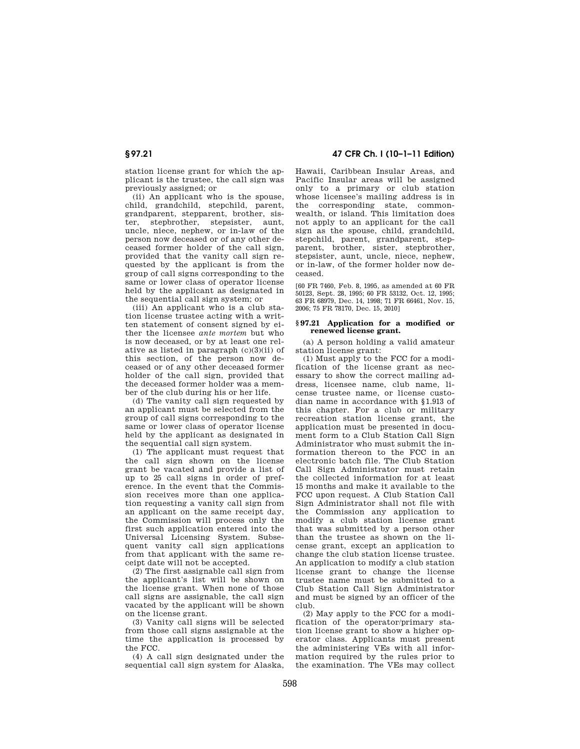station license grant for which the applicant is the trustee, the call sign was previously assigned; or

(ii) An applicant who is the spouse, child, grandchild, stepchild, parent, grandparent, stepparent, brother, sister, stepbrother, stepsister, aunt, uncle, niece, nephew, or in-law of the person now deceased or of any other deceased former holder of the call sign, provided that the vanity call sign requested by the applicant is from the group of call signs corresponding to the same or lower class of operator license held by the applicant as designated in the sequential call sign system; or

(iii) An applicant who is a club station license trustee acting with a written statement of consent signed by either the licensee *ante mortem* but who is now deceased, or by at least one relative as listed in paragraph (c)(3)(ii) of this section, of the person now deceased or of any other deceased former holder of the call sign, provided that the deceased former holder was a member of the club during his or her life.

(d) The vanity call sign requested by an applicant must be selected from the group of call signs corresponding to the same or lower class of operator license held by the applicant as designated in the sequential call sign system.

(1) The applicant must request that the call sign shown on the license grant be vacated and provide a list of up to 25 call signs in order of preference. In the event that the Commission receives more than one application requesting a vanity call sign from an applicant on the same receipt day, the Commission will process only the first such application entered into the Universal Licensing System. Subsequent vanity call sign applications from that applicant with the same receipt date will not be accepted.

(2) The first assignable call sign from the applicant's list will be shown on the license grant. When none of those call signs are assignable, the call sign vacated by the applicant will be shown on the license grant.

(3) Vanity call signs will be selected from those call signs assignable at the time the application is processed by the FCC.

(4) A call sign designated under the sequential call sign system for Alaska,

# **§ 97.21 47 CFR Ch. I (10–1–11 Edition)**

Hawaii, Caribbean Insular Areas, and Pacific Insular areas will be assigned only to a primary or club station whose licensee's mailing address is in the corresponding state, commonwealth, or island. This limitation does not apply to an applicant for the call sign as the spouse, child, grandchild, stepchild, parent, grandparent, stepparent, brother, sister, stepbrother, stepsister, aunt, uncle, niece, nephew, or in-law, of the former holder now deceased.

[60 FR 7460, Feb. 8, 1995, as amended at 60 FR 50123, Sept. 28, 1995; 60 FR 53132, Oct. 12, 1995; 63 FR 68979, Dec. 14, 1998; 71 FR 66461, Nov. 15, 2006; 75 FR 78170, Dec. 15, 2010]

## **§ 97.21 Application for a modified or renewed license grant.**

(a) A person holding a valid amateur station license grant:

(1) Must apply to the FCC for a modification of the license grant as necessary to show the correct mailing address, licensee name, club name, license trustee name, or license custodian name in accordance with §1.913 of this chapter. For a club or military recreation station license grant, the application must be presented in document form to a Club Station Call Sign Administrator who must submit the information thereon to the FCC in an electronic batch file. The Club Station Call Sign Administrator must retain the collected information for at least 15 months and make it available to the FCC upon request. A Club Station Call Sign Administrator shall not file with the Commission any application to modify a club station license grant that was submitted by a person other than the trustee as shown on the license grant, except an application to change the club station license trustee. An application to modify a club station license grant to change the license trustee name must be submitted to a Club Station Call Sign Administrator and must be signed by an officer of the club.

(2) May apply to the FCC for a modification of the operator/primary station license grant to show a higher operator class. Applicants must present the administering VEs with all information required by the rules prior to the examination. The VEs may collect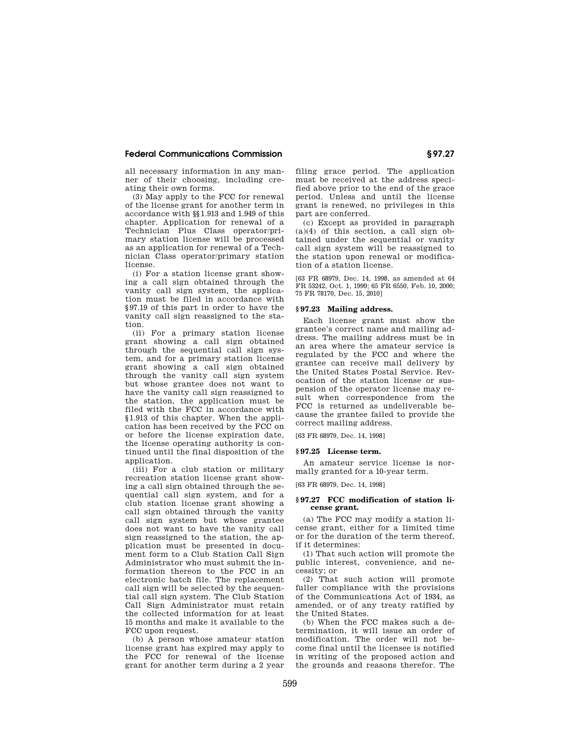all necessary information in any manner of their choosing, including creating their own forms.

(3) May apply to the FCC for renewal of the license grant for another term in accordance with §§1.913 and 1.949 of this chapter. Application for renewal of a Technician Plus Class operator/primary station license will be processed as an application for renewal of a Technician Class operator/primary station license.

(i) For a station license grant showing a call sign obtained through the vanity call sign system, the application must be filed in accordance with §97.19 of this part in order to have the vanity call sign reassigned to the station.

(ii) For a primary station license grant showing a call sign obtained through the sequential call sign system, and for a primary station license grant showing a call sign obtained through the vanity call sign system but whose grantee does not want to have the vanity call sign reassigned to the station, the application must be filed with the FCC in accordance with §1.913 of this chapter. When the application has been received by the FCC on or before the license expiration date, the license operating authority is continued until the final disposition of the application

(iii) For a club station or military recreation station license grant showing a call sign obtained through the sequential call sign system, and for a club station license grant showing a call sign obtained through the vanity call sign system but whose grantee does not want to have the vanity call sign reassigned to the station, the application must be presented in document form to a Club Station Call Sign Administrator who must submit the information thereon to the FCC in an electronic batch file. The replacement call sign will be selected by the sequential call sign system. The Club Station Call Sign Administrator must retain the collected information for at least 15 months and make it available to the FCC upon request.

(b) A person whose amateur station license grant has expired may apply to the FCC for renewal of the license grant for another term during a 2 year filing grace period. The application must be received at the address specified above prior to the end of the grace period. Unless and until the license grant is renewed, no privileges in this part are conferred.

(c) Except as provided in paragraph  $(a)(4)$  of this section, a call sign obtained under the sequential or vanity call sign system will be reassigned to the station upon renewal or modification of a station license.

[63 FR 68979, Dec. 14, 1998, as amended at 64 FR 53242, Oct. 1, 1999; 65 FR 6550, Feb. 10, 2000; 75 FR 78170, Dec. 15, 2010]

#### **§ 97.23 Mailing address.**

Each license grant must show the grantee's correct name and mailing address. The mailing address must be in an area where the amateur service is regulated by the FCC and where the grantee can receive mail delivery by the United States Postal Service. Revocation of the station license or suspension of the operator license may result when correspondence from the FCC is returned as undeliverable because the grantee failed to provide the correct mailing address.

[63 FR 68979, Dec. 14, 1998]

### **§ 97.25 License term.**

An amateur service license is normally granted for a 10-year term.

[63 FR 68979, Dec. 14, 1998]

# **§ 97.27 FCC modification of station license grant.**

(a) The FCC may modify a station license grant, either for a limited time or for the duration of the term thereof, if it determines:

(1) That such action will promote the public interest, convenience, and necessity; or

(2) That such action will promote fuller compliance with the provisions of the Communications Act of 1934, as amended, or of any treaty ratified by the United States.

(b) When the FCC makes such a determination, it will issue an order of modification. The order will not become final until the licensee is notified in writing of the proposed action and the grounds and reasons therefor. The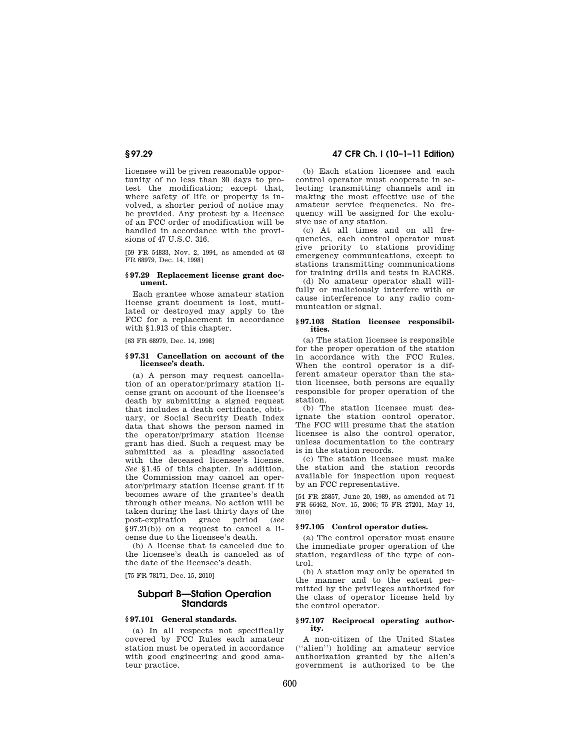licensee will be given reasonable opportunity of no less than 30 days to protest the modification; except that, where safety of life or property is involved, a shorter period of notice may be provided. Any protest by a licensee of an FCC order of modification will be handled in accordance with the provisions of 47 U.S.C. 316.

[59 FR 54833, Nov. 2, 1994, as amended at 63 FR 68979, Dec. 14, 1998]

## **§ 97.29 Replacement license grant document.**

Each grantee whose amateur station license grant document is lost, mutilated or destroyed may apply to the FCC for a replacement in accordance with §1.913 of this chapter.

[63 FR 68979, Dec. 14, 1998]

#### **§ 97.31 Cancellation on account of the licensee's death.**

(a) A person may request cancellation of an operator/primary station license grant on account of the licensee's death by submitting a signed request that includes a death certificate, obituary, or Social Security Death Index data that shows the person named in the operator/primary station license grant has died. Such a request may be submitted as a pleading associated with the deceased licensee's license. *See* §1.45 of this chapter. In addition, the Commission may cancel an operator/primary station license grant if it becomes aware of the grantee's death through other means. No action will be taken during the last thirty days of the post-expiration grace period (*see*  §97.21(b)) on a request to cancel a license due to the licensee's death.

(b) A license that is canceled due to the licensee's death is canceled as of the date of the licensee's death.

[75 FR 78171, Dec. 15, 2010]

# **Subpart B—Station Operation Standards**

# **§ 97.101 General standards.**

(a) In all respects not specifically covered by FCC Rules each amateur station must be operated in accordance with good engineering and good amateur practice.

# **§ 97.29 47 CFR Ch. I (10–1–11 Edition)**

(b) Each station licensee and each control operator must cooperate in selecting transmitting channels and in making the most effective use of the amateur service frequencies. No frequency will be assigned for the exclusive use of any station.

(c) At all times and on all frequencies, each control operator must give priority to stations providing emergency communications, except to stations transmitting communications for training drills and tests in RACES.

(d) No amateur operator shall willfully or maliciously interfere with or cause interference to any radio communication or signal.

### **§ 97.103 Station licensee responsibilities.**

(a) The station licensee is responsible for the proper operation of the station in accordance with the FCC Rules. When the control operator is a different amateur operator than the station licensee, both persons are equally responsible for proper operation of the station.

(b) The station licensee must designate the station control operator. The FCC will presume that the station licensee is also the control operator, unless documentation to the contrary is in the station records.

(c) The station licensee must make the station and the station records available for inspection upon request by an FCC representative.

[54 FR 25857, June 20, 1989, as amended at 71 FR 66462, Nov. 15, 2006; 75 FR 27201, May 14, 2010]

## **§ 97.105 Control operator duties.**

(a) The control operator must ensure the immediate proper operation of the station, regardless of the type of control.

(b) A station may only be operated in the manner and to the extent permitted by the privileges authorized for the class of operator license held by the control operator.

#### **§ 97.107 Reciprocal operating authority.**

A non-citizen of the United States (''alien'') holding an amateur service authorization granted by the alien's government is authorized to be the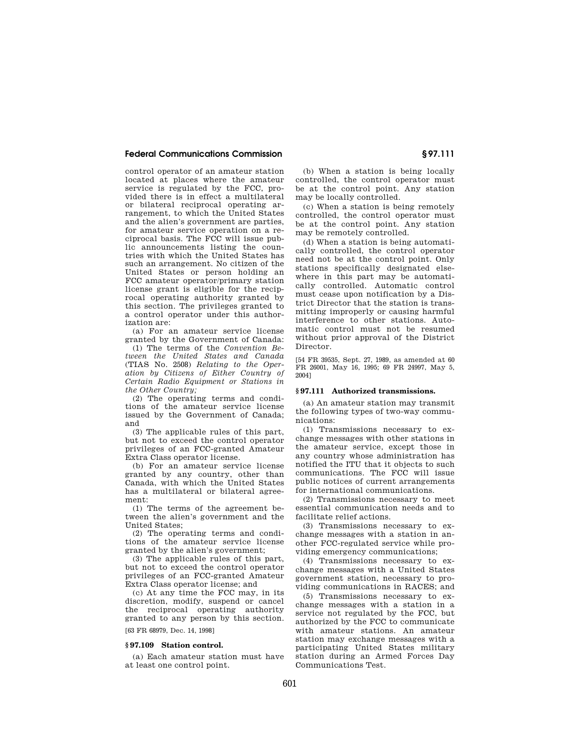control operator of an amateur station located at places where the amateur service is regulated by the FCC, provided there is in effect a multilateral or bilateral reciprocal operating arrangement, to which the United States and the alien's government are parties, for amateur service operation on a reciprocal basis. The FCC will issue public announcements listing the countries with which the United States has such an arrangement. No citizen of the United States or person holding an FCC amateur operator/primary station license grant is eligible for the reciprocal operating authority granted by this section. The privileges granted to a control operator under this authorization are:

(a) For an amateur service license granted by the Government of Canada:

(1) The terms of the *Convention Between the United States and Canada*  (TIAS No. 2508) *Relating to the Operation by Citizens of Either Country of Certain Radio Equipment or Stations in the Other Country;* 

(2) The operating terms and conditions of the amateur service license issued by the Government of Canada; and

(3) The applicable rules of this part, but not to exceed the control operator privileges of an FCC-granted Amateur Extra Class operator license.

(b) For an amateur service license granted by any country, other than Canada, with which the United States has a multilateral or bilateral agreement:

(1) The terms of the agreement between the alien's government and the United States;

(2) The operating terms and conditions of the amateur service license granted by the alien's government;

(3) The applicable rules of this part, but not to exceed the control operator privileges of an FCC-granted Amateur Extra Class operator license; and

(c) At any time the FCC may, in its discretion, modify, suspend or cancel the reciprocal operating authority granted to any person by this section.

[63 FR 68979, Dec. 14, 1998]

#### **§ 97.109 Station control.**

(a) Each amateur station must have at least one control point.

(b) When a station is being locally controlled, the control operator must be at the control point. Any station may be locally controlled.

(c) When a station is being remotely controlled, the control operator must be at the control point. Any station may be remotely controlled.

(d) When a station is being automatically controlled, the control operator need not be at the control point. Only stations specifically designated elsewhere in this part may be automatically controlled. Automatic control must cease upon notification by a District Director that the station is transmitting improperly or causing harmful interference to other stations. Automatic control must not be resumed without prior approval of the District Director.

[54 FR 39535, Sept. 27, 1989, as amended at 60 FR 26001, May 16, 1995; 69 FR 24997, May 5, 2004]

#### **§ 97.111 Authorized transmissions.**

(a) An amateur station may transmit the following types of two-way communications:

(1) Transmissions necessary to exchange messages with other stations in the amateur service, except those in any country whose administration has notified the ITU that it objects to such communications. The FCC will issue public notices of current arrangements for international communications.

(2) Transmissions necessary to meet essential communication needs and to facilitate relief actions.

(3) Transmissions necessary to exchange messages with a station in another FCC-regulated service while providing emergency communications;

(4) Transmissions necessary to exchange messages with a United States government station, necessary to providing communications in RACES; and

(5) Transmissions necessary to exchange messages with a station in a service not regulated by the FCC, but authorized by the FCC to communicate with amateur stations. An amateur station may exchange messages with a participating United States military station during an Armed Forces Day Communications Test.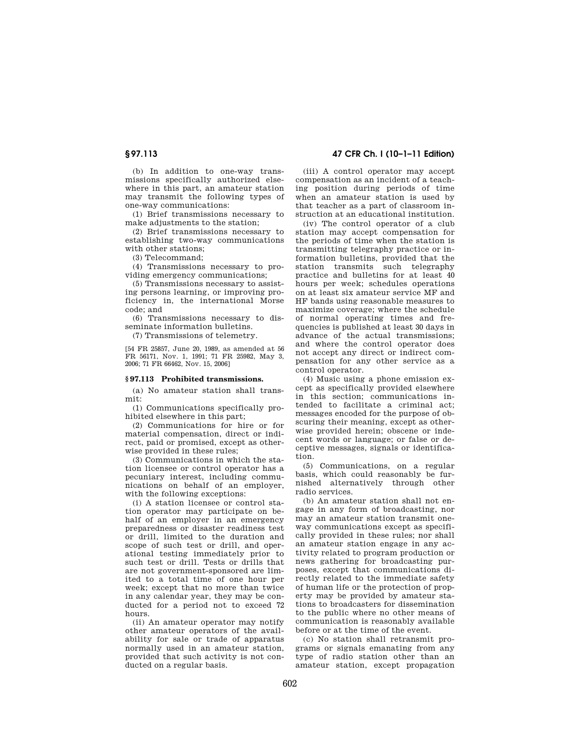(b) In addition to one-way transmissions specifically authorized elsewhere in this part, an amateur station may transmit the following types of one-way communications:

(1) Brief transmissions necessary to make adjustments to the station:

(2) Brief transmissions necessary to establishing two-way communications with other stations;

(3) Telecommand;

(4) Transmissions necessary to providing emergency communications;

(5) Transmissions necessary to assisting persons learning, or improving proficiency in, the international Morse code; and

(6) Transmissions necessary to disseminate information bulletins.

(7) Transmissions of telemetry.

[54 FR 25857, June 20, 1989, as amended at 56 FR 56171, Nov. 1, 1991; 71 FR 25982, May 3, 2006; 71 FR 66462, Nov. 15, 2006]

## **§ 97.113 Prohibited transmissions.**

(a) No amateur station shall transmit:

(1) Communications specifically prohibited elsewhere in this part;

(2) Communications for hire or for material compensation, direct or indirect, paid or promised, except as otherwise provided in these rules;

(3) Communications in which the station licensee or control operator has a pecuniary interest, including communications on behalf of an employer, with the following exceptions:

(i) A station licensee or control station operator may participate on behalf of an employer in an emergency preparedness or disaster readiness test or drill, limited to the duration and scope of such test or drill, and operational testing immediately prior to such test or drill. Tests or drills that are not government-sponsored are limited to a total time of one hour per week; except that no more than twice in any calendar year, they may be conducted for a period not to exceed 72 hours.

(ii) An amateur operator may notify other amateur operators of the availability for sale or trade of apparatus normally used in an amateur station, provided that such activity is not conducted on a regular basis.

# **§ 97.113 47 CFR Ch. I (10–1–11 Edition)**

(iii) A control operator may accept compensation as an incident of a teaching position during periods of time when an amateur station is used by that teacher as a part of classroom instruction at an educational institution.

(iv) The control operator of a club station may accept compensation for the periods of time when the station is transmitting telegraphy practice or information bulletins, provided that the station transmits such telegraphy practice and bulletins for at least 40 hours per week; schedules operations on at least six amateur service MF and HF bands using reasonable measures to maximize coverage; where the schedule of normal operating times and frequencies is published at least 30 days in advance of the actual transmissions; and where the control operator does not accept any direct or indirect compensation for any other service as a control operator.

(4) Music using a phone emission except as specifically provided elsewhere in this section; communications intended to facilitate a criminal act; messages encoded for the purpose of obscuring their meaning, except as otherwise provided herein; obscene or indecent words or language; or false or deceptive messages, signals or identification.

(5) Communications, on a regular basis, which could reasonably be furnished alternatively through other radio services.

(b) An amateur station shall not engage in any form of broadcasting, nor may an amateur station transmit oneway communications except as specifically provided in these rules; nor shall an amateur station engage in any activity related to program production or news gathering for broadcasting purposes, except that communications directly related to the immediate safety of human life or the protection of property may be provided by amateur stations to broadcasters for dissemination to the public where no other means of communication is reasonably available before or at the time of the event.

(c) No station shall retransmit programs or signals emanating from any type of radio station other than an amateur station, except propagation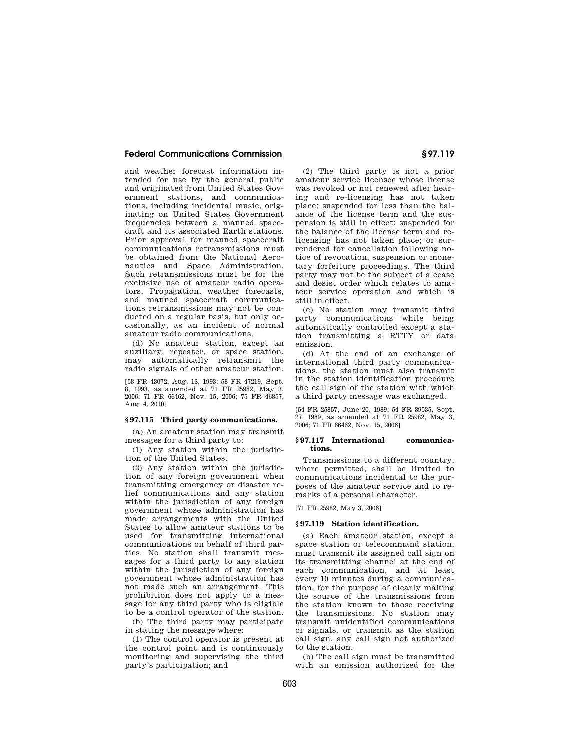and weather forecast information intended for use by the general public and originated from United States Government stations, and communications, including incidental music, originating on United States Government frequencies between a manned spacecraft and its associated Earth stations. Prior approval for manned spacecraft communications retransmissions must be obtained from the National Aeronautics and Space Administration. Such retransmissions must be for the exclusive use of amateur radio operators. Propagation, weather forecasts, and manned spacecraft communications retransmissions may not be conducted on a regular basis, but only occasionally, as an incident of normal amateur radio communications.

(d) No amateur station, except an auxiliary, repeater, or space station, may automatically retransmit the radio signals of other amateur station.

[58 FR 43072, Aug. 13, 1993; 58 FR 47219, Sept. 8, 1993, as amended at 71 FR 25982, May 3, 2006; 71 FR 66462, Nov. 15, 2006; 75 FR 46857, Aug. 4, 2010]

### **§ 97.115 Third party communications.**

(a) An amateur station may transmit messages for a third party to:

(1) Any station within the jurisdiction of the United States.

(2) Any station within the jurisdiction of any foreign government when transmitting emergency or disaster relief communications and any station within the jurisdiction of any foreign government whose administration has made arrangements with the United States to allow amateur stations to be used for transmitting international communications on behalf of third parties. No station shall transmit messages for a third party to any station within the jurisdiction of any foreign government whose administration has not made such an arrangement. This prohibition does not apply to a message for any third party who is eligible to be a control operator of the station.

(b) The third party may participate in stating the message where:

(1) The control operator is present at the control point and is continuously monitoring and supervising the third party's participation; and

(2) The third party is not a prior amateur service licensee whose license was revoked or not renewed after hearing and re-licensing has not taken place; suspended for less than the balance of the license term and the suspension is still in effect; suspended for the balance of the license term and relicensing has not taken place; or surrendered for cancellation following notice of revocation, suspension or monetary forfeiture proceedings. The third party may not be the subject of a cease and desist order which relates to amateur service operation and which is still in effect.

(c) No station may transmit third party communications while being automatically controlled except a station transmitting a RTTY or data emission.

(d) At the end of an exchange of international third party communications, the station must also transmit in the station identification procedure the call sign of the station with which a third party message was exchanged.

[54 FR 25857, June 20, 1989; 54 FR 39535, Sept. 27, 1989, as amended at 71 FR 25982, May 3, 2006; 71 FR 66462, Nov. 15, 2006]

#### **§ 97.117 International communications.**

Transmissions to a different country, where permitted, shall be limited to communications incidental to the purposes of the amateur service and to remarks of a personal character.

[71 FR 25982, May 3, 2006]

## **§ 97.119 Station identification.**

(a) Each amateur station, except a space station or telecommand station, must transmit its assigned call sign on its transmitting channel at the end of each communication, and at least every 10 minutes during a communication, for the purpose of clearly making the source of the transmissions from the station known to those receiving the transmissions. No station may transmit unidentified communications or signals, or transmit as the station call sign, any call sign not authorized to the station.

(b) The call sign must be transmitted with an emission authorized for the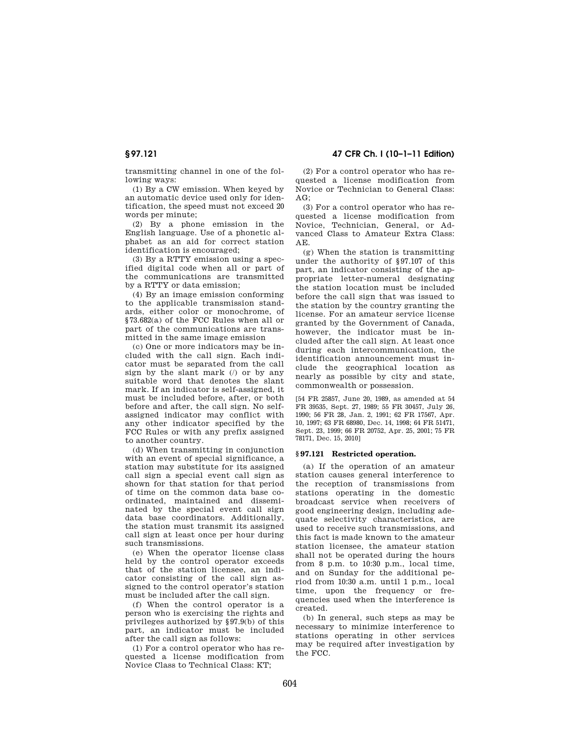**§ 97.121 47 CFR Ch. I (10–1–11 Edition)** 

transmitting channel in one of the following ways:

(1) By a CW emission. When keyed by an automatic device used only for identification, the speed must not exceed 20 words per minute;

(2) By a phone emission in the English language. Use of a phonetic alphabet as an aid for correct station identification is encouraged;

(3) By a RTTY emission using a specified digital code when all or part of the communications are transmitted by a RTTY or data emission;

(4) By an image emission conforming to the applicable transmission standards, either color or monochrome, of §73.682(a) of the FCC Rules when all or part of the communications are transmitted in the same image emission

(c) One or more indicators may be included with the call sign. Each indicator must be separated from the call sign by the slant mark  $($ ) or by any suitable word that denotes the slant mark. If an indicator is self-assigned, it must be included before, after, or both before and after, the call sign. No selfassigned indicator may conflict with any other indicator specified by the FCC Rules or with any prefix assigned to another country.

(d) When transmitting in conjunction with an event of special significance, a station may substitute for its assigned call sign a special event call sign as shown for that station for that period of time on the common data base coordinated, maintained and disseminated by the special event call sign data base coordinators. Additionally, the station must transmit its assigned call sign at least once per hour during such transmissions.

(e) When the operator license class held by the control operator exceeds that of the station licensee, an indicator consisting of the call sign assigned to the control operator's station must be included after the call sign.

(f) When the control operator is a person who is exercising the rights and privileges authorized by §97.9(b) of this part, an indicator must be included after the call sign as follows:

(1) For a control operator who has requested a license modification from Novice Class to Technical Class: KT;

(2) For a control operator who has requested a license modification from Novice or Technician to General Class:  $AG:$ 

(3) For a control operator who has requested a license modification from Novice, Technician, General, or Advanced Class to Amateur Extra Class: AE.

(g) When the station is transmitting under the authority of §97.107 of this part, an indicator consisting of the appropriate letter-numeral designating the station location must be included before the call sign that was issued to the station by the country granting the license. For an amateur service license granted by the Government of Canada, however, the indicator must be included after the call sign. At least once during each intercommunication, the identification announcement must include the geographical location as nearly as possible by city and state, commonwealth or possession.

[54 FR 25857, June 20, 1989, as amended at 54 FR 39535, Sept. 27, 1989; 55 FR 30457, July 26, 1990; 56 FR 28, Jan. 2, 1991; 62 FR 17567, Apr. 10, 1997; 63 FR 68980, Dec. 14, 1998; 64 FR 51471, Sept. 23, 1999; 66 FR 20752, Apr. 25, 2001; 75 FR 78171, Dec. 15, 2010]

## **§ 97.121 Restricted operation.**

(a) If the operation of an amateur station causes general interference to the reception of transmissions from stations operating in the domestic broadcast service when receivers of good engineering design, including adequate selectivity characteristics, are used to receive such transmissions, and this fact is made known to the amateur station licensee, the amateur station shall not be operated during the hours from 8 p.m. to 10:30 p.m., local time, and on Sunday for the additional period from 10:30 a.m. until 1 p.m., local time, upon the frequency or frequencies used when the interference is created.

(b) In general, such steps as may be necessary to minimize interference to stations operating in other services may be required after investigation by the FCC.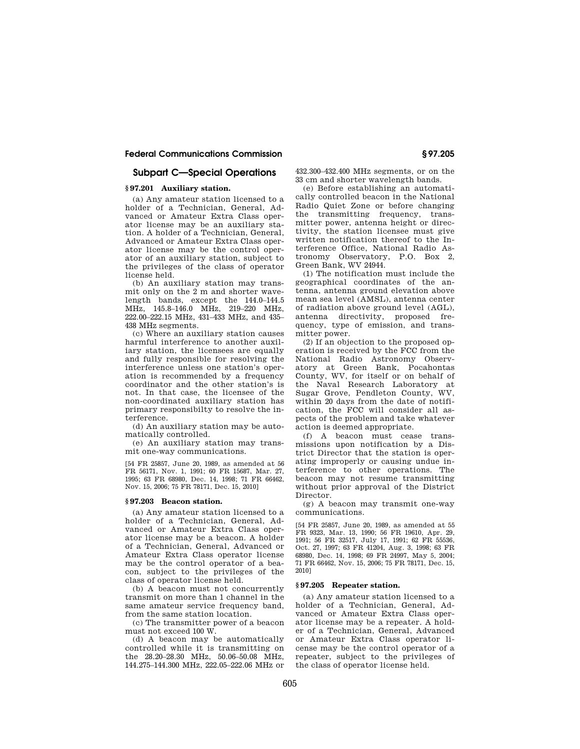# **Subpart C—Special Operations**

# **§ 97.201 Auxiliary station.**

(a) Any amateur station licensed to a holder of a Technician, General, Advanced or Amateur Extra Class operator license may be an auxiliary station. A holder of a Technician, General, Advanced or Amateur Extra Class operator license may be the control operator of an auxiliary station, subject to the privileges of the class of operator license held.

(b) An auxiliary station may transmit only on the 2 m and shorter wavelength bands, except the 144.0–144.5 MHz, 145.8–146.0 MHz, 219–220 MHz, 222.00–222.15 MHz, 431–433 MHz, and 435– 438 MHz segments.

(c) Where an auxiliary station causes harmful interference to another auxiliary station, the licensees are equally and fully responsible for resolving the interference unless one station's operation is recommended by a frequency coordinator and the other station's is not. In that case, the licensee of the non-coordinated auxiliary station has primary responsibilty to resolve the interference.

(d) An auxiliary station may be automatically controlled.

(e) An auxiliary station may transmit one-way communications.

[54 FR 25857, June 20, 1989, as amended at 56 FR 56171, Nov. 1, 1991; 60 FR 15687, Mar. 27, 1995; 63 FR 68980, Dec. 14, 1998; 71 FR 66462, Nov. 15, 2006; 75 FR 78171, Dec. 15, 2010]

#### **§ 97.203 Beacon station.**

(a) Any amateur station licensed to a holder of a Technician, General, Advanced or Amateur Extra Class operator license may be a beacon. A holder of a Technician, General, Advanced or Amateur Extra Class operator license may be the control operator of a beacon, subject to the privileges of the class of operator license held.

(b) A beacon must not concurrently transmit on more than 1 channel in the same amateur service frequency band, from the same station location.

(c) The transmitter power of a beacon must not exceed 100 W.

(d) A beacon may be automatically controlled while it is transmitting on the 28.20–28.30 MHz, 50.06–50.08 MHz, 144.275–144.300 MHz, 222.05–222.06 MHz or 432.300–432.400 MHz segments, or on the 33 cm and shorter wavelength bands.

(e) Before establishing an automatically controlled beacon in the National Radio Quiet Zone or before changing the transmitting frequency, transmitter power, antenna height or directivity, the station licensee must give written notification thereof to the Interference Office, National Radio Astronomy Observatory, P.O. Box 2, Green Bank, WV 24944.

(1) The notification must include the geographical coordinates of the antenna, antenna ground elevation above mean sea level (AMSL), antenna center of radiation above ground level (AGL), antenna directivity, proposed frequency, type of emission, and transmitter power.

(2) If an objection to the proposed operation is received by the FCC from the National Radio Astronomy Observatory at Green Bank, Pocahontas County, WV, for itself or on behalf of the Naval Research Laboratory at Sugar Grove, Pendleton County, WV, within 20 days from the date of notification, the FCC will consider all aspects of the problem and take whatever action is deemed appropriate.

(f) A beacon must cease transmissions upon notification by a District Director that the station is operating improperly or causing undue interference to other operations. The beacon may not resume transmitting without prior approval of the District Director.

(g) A beacon may transmit one-way communications.

[54 FR 25857, June 20, 1989, as amended at 55 FR 9323, Mar. 13, 1990; 56 FR 19610, Apr. 29, 1991; 56 FR 32517, July 17, 1991; 62 FR 55536, Oct. 27, 1997; 63 FR 41204, Aug. 3, 1998; 63 FR 68980, Dec. 14, 1998; 69 FR 24997, May 5, 2004; 71 FR 66462, Nov. 15, 2006; 75 FR 78171, Dec. 15, 2010]

#### **§ 97.205 Repeater station.**

(a) Any amateur station licensed to a holder of a Technician, General, Advanced or Amateur Extra Class operator license may be a repeater. A holder of a Technician, General, Advanced or Amateur Extra Class operator license may be the control operator of a repeater, subject to the privileges of the class of operator license held.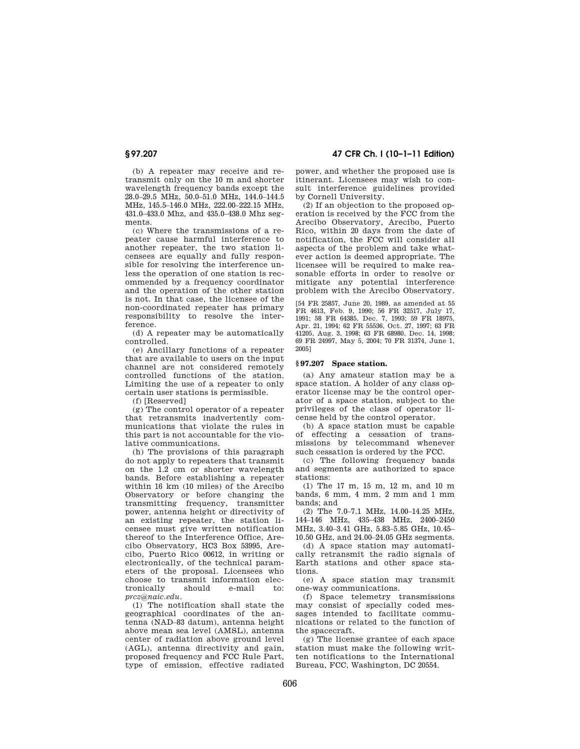(b) A repeater may receive and retransmit only on the 10 m and shorter wavelength frequency bands except the 28.0–29.5 MHz, 50.0–51.0 MHz, 144.0–144.5 MHz, 145.5–146.0 MHz, 222.00–222.15 MHz, 431.0–433.0 Mhz, and 435.0–438.0 Mhz segments.

(c) Where the transmissions of a repeater cause harmful interference to another repeater, the two station licensees are equally and fully responsible for resolving the interference unless the operation of one station is recommended by a frequency coordinator and the operation of the other station is not. In that case, the licensee of the non-coordinated repeater has primary responsibility to resolve the interference.

(d) A repeater may be automatically controlled.

(e) Ancillary functions of a repeater that are available to users on the input channel are not considered remotely controlled functions of the station. Limiting the use of a repeater to only certain user stations is permissible.

(f) [Reserved]

(g) The control operator of a repeater that retransmits inadvertently communications that violate the rules in this part is not accountable for the violative communications.

(h) The provisions of this paragraph do not apply to repeaters that transmit on the 1.2 cm or shorter wavelength bands. Before establishing a repeater within 16 km (10 miles) of the Arecibo Observatory or before changing the transmitting frequency, transmitter power, antenna height or directivity of an existing repeater, the station licensee must give written notification thereof to the Interference Office, Arecibo Observatory, HC3 Box 53995, Arecibo, Puerto Rico 00612, in writing or electronically, of the technical parameters of the proposal. Licensees who choose to transmit information electronically should e-mail to: *prcz@naic.edu.* 

(1) The notification shall state the geographical coordinates of the antenna (NAD–83 datum), antenna height above mean sea level (AMSL), antenna center of radiation above ground level (AGL), antenna directivity and gain, proposed frequency and FCC Rule Part, type of emission, effective radiated

**§ 97.207 47 CFR Ch. I (10–1–11 Edition)** 

power, and whether the proposed use is itinerant. Licensees may wish to consult interference guidelines provided by Cornell University.

(2) If an objection to the proposed operation is received by the FCC from the Arecibo Observatory, Arecibo, Puerto Rico, within 20 days from the date of notification, the FCC will consider all aspects of the problem and take whatever action is deemed appropriate. The licensee will be required to make reasonable efforts in order to resolve or mitigate any potential interference problem with the Arecibo Observatory.

[54 FR 25857, June 20, 1989, as amended at 55 FR 4613, Feb. 9, 1990; 56 FR 32517, July 17, 1991; 58 FR 64385, Dec. 7, 1993; 59 FR 18975, Apr. 21, 1994; 62 FR 55536, Oct. 27, 1997; 63 FR 41205, Aug. 3, 1998; 63 FR 68980, Dec. 14, 1998; 69 FR 24997, May 5, 2004; 70 FR 31374, June 1, 2005]

# **§ 97.207 Space station.**

(a) Any amateur station may be a space station. A holder of any class operator license may be the control operator of a space station, subject to the privileges of the class of operator license held by the control operator.

(b) A space station must be capable of effecting a cessation of transmissions by telecommand whenever such cessation is ordered by the FCC.

(c) The following frequency bands and segments are authorized to space stations:

(1) The 17 m, 15 m, 12 m, and 10 m bands, 6 mm, 4 mm, 2 mm and 1 mm bands; and

(2) The 7.0–7.1 MHz, 14.00–14.25 MHz, 144–146 MHz, 435–438 MHz, 2400–2450 MHz, 3.40–3.41 GHz, 5.83–5.85 GHz, 10.45– 10.50 GHz, and 24.00–24.05 GHz segments.

(d) A space station may automatically retransmit the radio signals of Earth stations and other space stations.

(e) A space station may transmit one-way communications.

(f) Space telemetry transmissions may consist of specially coded messages intended to facilitate communications or related to the function of the spacecraft.

(g) The license grantee of each space station must make the following written notifications to the International Bureau, FCC, Washington, DC 20554.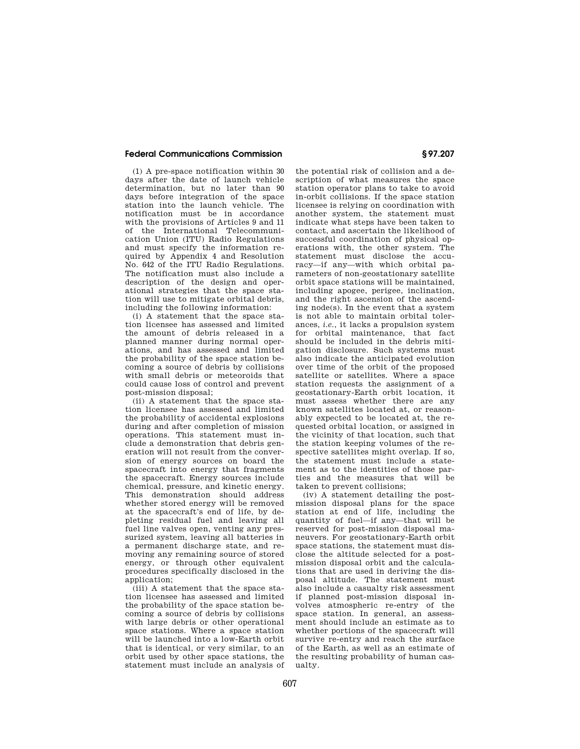(1) A pre-space notification within 30 days after the date of launch vehicle determination, but no later than 90 days before integration of the space station into the launch vehicle. The notification must be in accordance with the provisions of Articles 9 and 11 of the International Telecommunication Union (ITU) Radio Regulations and must specify the information required by Appendix 4 and Resolution No. 642 of the ITU Radio Regulations. The notification must also include a description of the design and operational strategies that the space station will use to mitigate orbital debris, including the following information:

(i) A statement that the space station licensee has assessed and limited the amount of debris released in a planned manner during normal operations, and has assessed and limited the probability of the space station becoming a source of debris by collisions with small debris or meteoroids that could cause loss of control and prevent post-mission disposal;

(ii) A statement that the space station licensee has assessed and limited the probability of accidental explosions during and after completion of mission operations. This statement must include a demonstration that debris generation will not result from the conversion of energy sources on board the spacecraft into energy that fragments the spacecraft. Energy sources include chemical, pressure, and kinetic energy. This demonstration should address whether stored energy will be removed at the spacecraft's end of life, by depleting residual fuel and leaving all fuel line valves open, venting any pressurized system, leaving all batteries in a permanent discharge state, and removing any remaining source of stored energy, or through other equivalent procedures specifically disclosed in the application;

(iii) A statement that the space station licensee has assessed and limited the probability of the space station becoming a source of debris by collisions with large debris or other operational space stations. Where a space station will be launched into a low-Earth orbit that is identical, or very similar, to an orbit used by other space stations, the statement must include an analysis of the potential risk of collision and a description of what measures the space station operator plans to take to avoid in-orbit collisions. If the space station licensee is relying on coordination with another system, the statement must indicate what steps have been taken to contact, and ascertain the likelihood of successful coordination of physical operations with, the other system. The statement must disclose the accuracy—if any—with which orbital parameters of non-geostationary satellite orbit space stations will be maintained, including apogee, perigee, inclination, and the right ascension of the ascending node(s). In the event that a system is not able to maintain orbital tolerances, *i.e.*, it lacks a propulsion system for orbital maintenance, that fact should be included in the debris mitigation disclosure. Such systems must also indicate the anticipated evolution over time of the orbit of the proposed satellite or satellites. Where a space station requests the assignment of a geostationary-Earth orbit location, it must assess whether there are any known satellites located at, or reasonably expected to be located at, the requested orbital location, or assigned in the vicinity of that location, such that the station keeping volumes of the respective satellites might overlap. If so, the statement must include a statement as to the identities of those parties and the measures that will be taken to prevent collisions;

(iv) A statement detailing the postmission disposal plans for the space station at end of life, including the quantity of fuel—if any—that will be reserved for post-mission disposal maneuvers. For geostationary-Earth orbit space stations, the statement must disclose the altitude selected for a postmission disposal orbit and the calculations that are used in deriving the disposal altitude. The statement must also include a casualty risk assessment if planned post-mission disposal involves atmospheric re-entry of the space station. In general, an assessment should include an estimate as to whether portions of the spacecraft will survive re-entry and reach the surface of the Earth, as well as an estimate of the resulting probability of human casualty.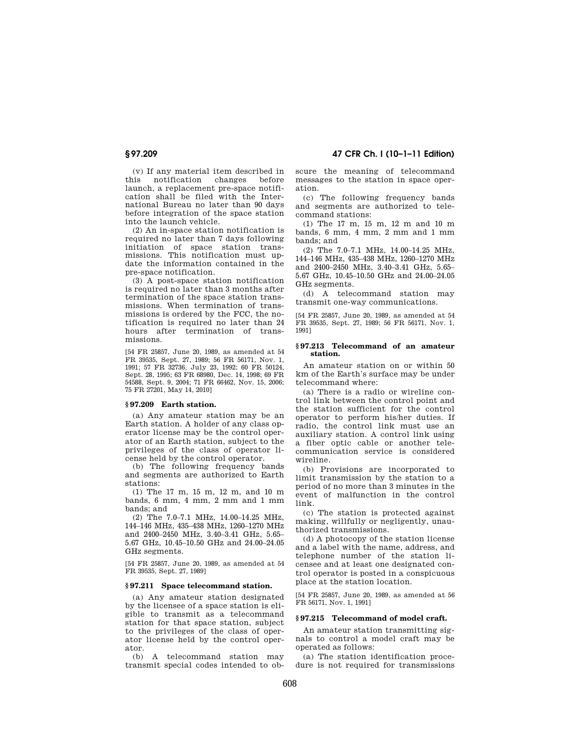**§ 97.209 47 CFR Ch. I (10–1–11 Edition)** 

(v) If any material item described in this notification changes before launch, a replacement pre-space notification shall be filed with the International Bureau no later than 90 days before integration of the space station into the launch vehicle.

(2) An in-space station notification is required no later than 7 days following initiation of space station transmissions. This notification must update the information contained in the pre-space notification.

(3) A post-space station notification is required no later than 3 months after termination of the space station transmissions. When termination of transmissions is ordered by the FCC, the notification is required no later than 24 hours after termination of transmissions.

[54 FR 25857, June 20, 1989, as amended at 54 FR 39535, Sept. 27, 1989; 56 FR 56171, Nov. 1, 1991; 57 FR 32736, July 23, 1992; 60 FR 50124, Sept. 28, 1995; 63 FR 68980, Dec. 14, 1998; 69 FR 54588, Sept. 9, 2004; 71 FR 66462, Nov. 15, 2006; 75 FR 27201, May 14, 2010]

### **§ 97.209 Earth station.**

(a) Any amateur station may be an Earth station. A holder of any class operator license may be the control operator of an Earth station, subject to the privileges of the class of operator license held by the control operator.

(b) The following frequency bands and segments are authorized to Earth stations:

(1) The 17 m, 15 m, 12 m, and 10 m bands, 6 mm, 4 mm, 2 mm and 1 mm bands; and

(2) The 7.0–7.1 MHz, 14.00–14.25 MHz, 144–146 MHz, 435–438 MHz, 1260–1270 MHz and 2400–2450 MHz, 3.40–3.41 GHz, 5.65– 5.67 GHz, 10.45–10.50 GHz and 24.00–24.05 GHz segments.

[54 FR 25857, June 20, 1989, as amended at 54 FR 39535, Sept. 27, 1989]

# **§ 97.211 Space telecommand station.**

(a) Any amateur station designated by the licensee of a space station is eligible to transmit as a telecommand station for that space station, subject to the privileges of the class of operator license held by the control operator.

(b) A telecommand station may transmit special codes intended to obscure the meaning of telecommand messages to the station in space operation.

(c) The following frequency bands and segments are authorized to telecommand stations:

(1) The 17 m, 15 m, 12 m and 10 m bands, 6 mm, 4 mm, 2 mm and 1 mm bands; and

(2) The 7.0–7.1 MHz, 14.00–14.25 MHz, 144–146 MHz, 435–438 MHz, 1260–1270 MHz and 2400–2450 MHz, 3.40–3.41 GHz, 5.65– 5.67 GHz, 10.45–10.50 GHz and 24.00–24.05 GHz segments.

(d) A telecommand station may transmit one-way communications.

[54 FR 25857, June 20, 1989, as amended at 54 FR 39535, Sept. 27, 1989; 56 FR 56171, Nov. 1, 1991]

#### **§ 97.213 Telecommand of an amateur station.**

An amateur station on or within 50 km of the Earth's surface may be under telecommand where:

(a) There is a radio or wireline control link between the control point and the station sufficient for the control operator to perform his/her duties. If radio, the control link must use an auxiliary station. A control link using a fiber optic cable or another telecommunication service is considered wireline.

(b) Provisions are incorporated to limit transmission by the station to a period of no more than 3 minutes in the event of malfunction in the control link.

(c) The station is protected against making, willfully or negligently, unauthorized transmissions.

(d) A photocopy of the station license and a label with the name, address, and telephone number of the station licensee and at least one designated control operator is posted in a conspicuous place at the station location.

[54 FR 25857, June 20, 1989, as amended at 56 FR 56171, Nov. 1, 1991]

#### **§ 97.215 Telecommand of model craft.**

An amateur station transmitting signals to control a model craft may be operated as follows:

(a) The station identification procedure is not required for transmissions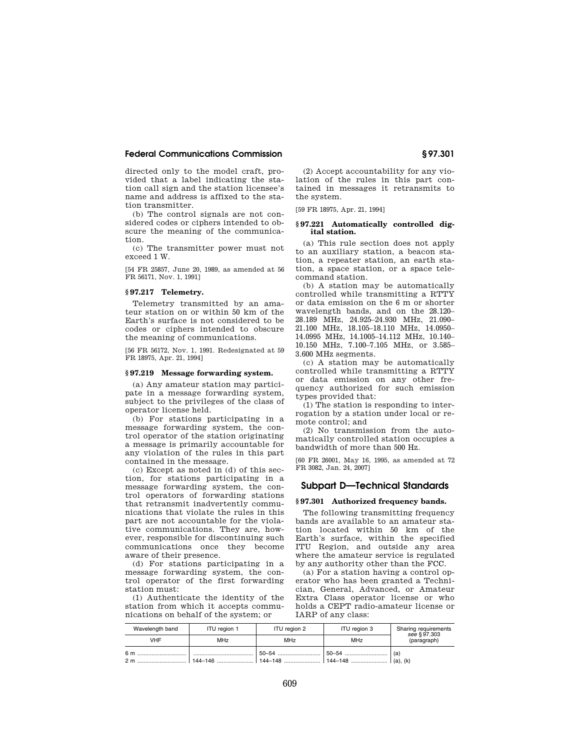directed only to the model craft, provided that a label indicating the station call sign and the station licensee's name and address is affixed to the station transmitter.

(b) The control signals are not considered codes or ciphers intended to obscure the meaning of the communication.

(c) The transmitter power must not exceed 1 W.

[54 FR 25857, June 20, 1989, as amended at 56 FR 56171, Nov. 1, 1991]

# **§ 97.217 Telemetry.**

Telemetry transmitted by an amateur station on or within 50 km of the Earth's surface is not considered to be codes or ciphers intended to obscure the meaning of communications.

[56 FR 56172, Nov. 1, 1991. Redesignated at 59 FR 18975, Apr. 21, 1994]

#### **§ 97.219 Message forwarding system.**

(a) Any amateur station may participate in a message forwarding system, subject to the privileges of the class of operator license held.

(b) For stations participating in a message forwarding system, the control operator of the station originating a message is primarily accountable for any violation of the rules in this part contained in the message.

(c) Except as noted in (d) of this section, for stations participating in a message forwarding system, the control operators of forwarding stations that retransmit inadvertently communications that violate the rules in this part are not accountable for the violative communications. They are, however, responsible for discontinuing such communications once they become aware of their presence.

(d) For stations participating in a message forwarding system, the control operator of the first forwarding station must:

(1) Authenticate the identity of the station from which it accepts communications on behalf of the system; or

(2) Accept accountability for any violation of the rules in this part contained in messages it retransmits to the system.

[59 FR 18975, Apr. 21, 1994]

## **§ 97.221 Automatically controlled digital station.**

(a) This rule section does not apply to an auxiliary station, a beacon station, a repeater station, an earth station, a space station, or a space telecommand station.

(b) A station may be automatically controlled while transmitting a RTTY or data emission on the 6 m or shorter wavelength bands, and on the 28.120– 28.189 MHz, 24.925–24.930 MHz, 21.090– 21.100 MHz, 18.105–18.110 MHz, 14.0950– 14.0995 MHz, 14.1005–14.112 MHz, 10.140– 10.150 MHz, 7.100–7.105 MHz, or 3.585– 3.600 MHz segments.

(c) A station may be automatically controlled while transmitting a RTTY or data emission on any other frequency authorized for such emission types provided that:

(1) The station is responding to interrogation by a station under local or remote control; and

(2) No transmission from the automatically controlled station occupies a bandwidth of more than 500 Hz.

[60 FR 26001, May 16, 1995, as amended at 72 FR 3082, Jan. 24, 2007]

# **Subpart D—Technical Standards**

#### **§ 97.301 Authorized frequency bands.**

The following transmitting frequency bands are available to an amateur station located within 50 km of the Earth's surface, within the specified ITU Region, and outside any area where the amateur service is regulated by any authority other than the FCC.

(a) For a station having a control operator who has been granted a Technician, General, Advanced, or Amateur Extra Class operator license or who holds a CEPT radio-amateur license or IARP of any class:

| Wavelength band                    | ITU region 1 | ITU region 2 | ITU region 3                                                                     | Sharing requirements<br>see §97.303 |
|------------------------------------|--------------|--------------|----------------------------------------------------------------------------------|-------------------------------------|
| <b>VHF</b>                         | <b>MHz</b>   | <b>MHz</b>   | MHz                                                                              | (paragraph)                         |
| 6 m ……………………………!……………………………<br>2 m |              |              | .   50–54<br>l 144–146 ……………………   144–148 ……………………   144–148 ……………………   (a), (k) | (a)                                 |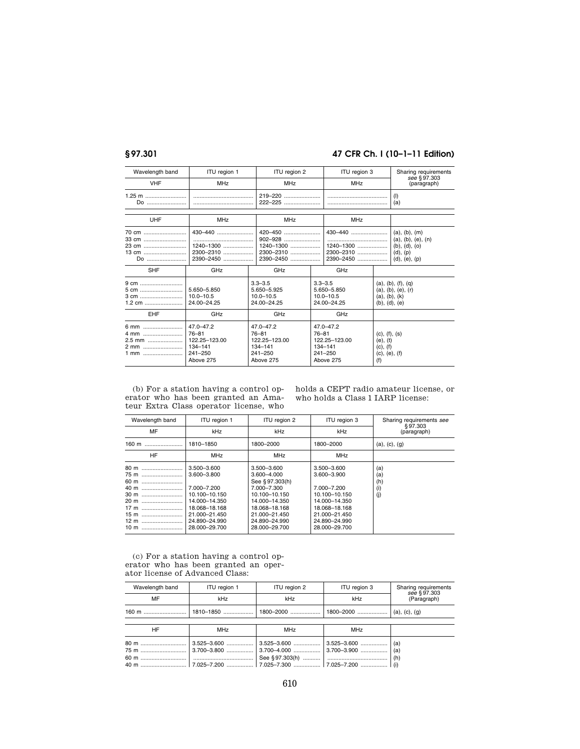# **§ 97.301 47 CFR Ch. I (10–1–11 Edition)**

| Wavelength band                | ITU region 1                                                                   | ITU region 2                                                                   |           | ITU region 3                                                      |                                                               | Sharing requirements<br>see §97.303                                               |  |
|--------------------------------|--------------------------------------------------------------------------------|--------------------------------------------------------------------------------|-----------|-------------------------------------------------------------------|---------------------------------------------------------------|-----------------------------------------------------------------------------------|--|
| <b>VHF</b>                     | <b>MHz</b>                                                                     | <b>MHz</b>                                                                     |           |                                                                   |                                                               | (paragraph)                                                                       |  |
| Do                             |                                                                                | 219-220<br>222-225                                                             |           |                                                                   |                                                               | (1)<br>(a)                                                                        |  |
| UHF                            | <b>MHz</b>                                                                     | <b>MHz</b>                                                                     |           | <b>MHz</b>                                                        |                                                               |                                                                                   |  |
| 70 cm<br>33 cm<br>23 cm<br>Do  | <br>1240-1300<br>2300-2310<br>2390-2450                                        | 902-928<br>$1240 - 1300$<br>2300-2310<br>2390-2450                             |           | 430-440<br><br>1240-1300<br>2300-2310<br>2390-2450                |                                                               | (a), (b), (m)<br>(a), (b), (e), (n)<br>(b), (d), (o)<br>(d), (p)<br>(d), (e), (p) |  |
| <b>SHF</b>                     | GHz                                                                            | GHz                                                                            |           | GHz                                                               |                                                               |                                                                                   |  |
| 9 cm<br>5 cm<br>3 cm           | 5.650-5.850<br>$10.0 - 10.5$<br>24.00-24.25                                    | $3.3 - 3.5$<br>5.650-5.925<br>$10.0 - 10.5$<br>24.00-24.25                     |           | $3.3 - 3.5$<br>5.650-5.850<br>$10.0 - 10.5$<br>24.00-24.25        | (a), (b), (k)<br>(b), (d), (e)                                | (a), (b), (f), (q)<br>(a), (b), (e), (r)                                          |  |
| <b>EHF</b>                     | GHz                                                                            | GHz                                                                            |           | GHz                                                               |                                                               |                                                                                   |  |
| 6 mm<br>2.5 mm<br>2 mm<br>1 mm | 47.0-47.2<br>$76 - 81$<br>122.25-123.00<br>134-141<br>$241 - 250$<br>Above 275 | $47.0 - 47.2$<br>76-81<br>122.25-123.00<br>134-141<br>$241 - 250$<br>Above 275 | $76 - 81$ | 47.0-47.2<br>122.25-123.00<br>134-141<br>$241 - 250$<br>Above 275 | (c), (f), (s)<br>(e), (t)<br>(c), (f)<br>(c), (e), (f)<br>(f) |                                                                                   |  |

(b) For a station having a control operator who has been granted an Amateur Extra Class operator license, who holds a CEPT radio amateur license, or who holds a Class 1 IARP license:

| Wavelength band                        | ITU region 1                                                                                                                                    | ITU region 2                                                                                                                                                          | ITU region 3                                                                                                                                    | Sharing requirements see<br>\$97,303 |
|----------------------------------------|-------------------------------------------------------------------------------------------------------------------------------------------------|-----------------------------------------------------------------------------------------------------------------------------------------------------------------------|-------------------------------------------------------------------------------------------------------------------------------------------------|--------------------------------------|
| MF                                     | kHz                                                                                                                                             | kHz                                                                                                                                                                   | kHz                                                                                                                                             | (paragraph)                          |
| $160 \text{ m}$                        | 1810-1850                                                                                                                                       | 1800-2000                                                                                                                                                             | 1800-2000                                                                                                                                       | (a), (c), (g)                        |
| HF                                     | <b>MHz</b>                                                                                                                                      | <b>MHz</b>                                                                                                                                                            | <b>MHz</b>                                                                                                                                      |                                      |
| 80 m<br>75 m<br>60 m<br>40 m<br>$10 m$ | 3.500-3.600<br>3.600-3.800<br>7.000-7.200<br>10.100-10.150<br>14.000-14.350<br>18.068-18.168<br>21.000-21.450<br>24.890-24.990<br>28.000-29.700 | 3.500-3.600<br>$3.600 - 4.000$<br>See §97.303(h)<br>7.000-7.300<br>10.100-10.150<br>14.000-14.350<br>18.068-18.168<br>21.000-21.450<br>24.890-24.990<br>28.000-29.700 | 3.500-3.600<br>3.600-3.900<br>7.000-7.200<br>10.100-10.150<br>14.000-14.350<br>18.068-18.168<br>21.000-21.450<br>24.890-24.990<br>28.000-29.700 | (a)<br>(a)<br>(h)<br>(i)<br>(i)      |

(c) For a station having a control operator who has been granted an operator license of Advanced Class:

| Wavelength band | ITU region 1                                                                                                                                       | ITU region 2 | ITU region 3 | Sharing requirements<br>see §97.303 |  |
|-----------------|----------------------------------------------------------------------------------------------------------------------------------------------------|--------------|--------------|-------------------------------------|--|
| MF              | kHz                                                                                                                                                | kHz          | kHz          | (Paragraph)                         |  |
|                 |                                                                                                                                                    |              |              | (a), (c), (g)                       |  |
|                 |                                                                                                                                                    |              |              |                                     |  |
| <b>HF</b>       | <b>MHz</b>                                                                                                                                         | MHz          | <b>MHz</b>   |                                     |  |
| $80 \text{ m}$  | $3.525 - 3.600$                                                                                                                                    |              | 3.525-3.600  | (a)                                 |  |
| 75 m            | $3.700 - 3.800$                                                                                                                                    |              | 3.700-3.900  | (a)                                 |  |
|                 |                                                                                                                                                    |              |              |                                     |  |
|                 | (i) $\frac{1}{2025}$ (7.025–7.200 $\frac{1}{2025}$ (7.025–7.200 $\frac{1}{2025}$ (7.025–7.300 $\frac{1}{2025}$ (7.025–7.200 $\frac{1}{2025}$ ) (i) |              |              |                                     |  |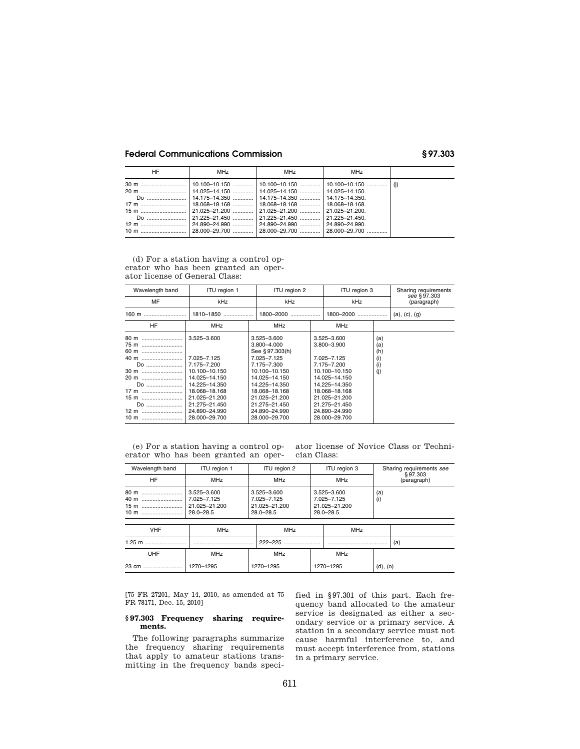| HF. | MHz                                                                        | MHz | MHz |  |
|-----|----------------------------------------------------------------------------|-----|-----|--|
|     | Do ……………………   14.175–14.350 ……………   14.175–14.350 …………   14.175–14.350.    |     |     |  |
|     | 10 m ………………………… 28.000–29.700 …………… 28.000–29.700 …………… 28.000–29.700 ………… |     |     |  |

(d) For a station having a control operator who has been granted an operator license of General Class:

| Wavelength band                                                                  | ITU region 1                                                                                                                                                                      | ITU region 2                                                                                                                                                                                                       | ITU region 3                                                                                                                                                                                     |                                        | Sharing requirements<br>see §97.303 |
|----------------------------------------------------------------------------------|-----------------------------------------------------------------------------------------------------------------------------------------------------------------------------------|--------------------------------------------------------------------------------------------------------------------------------------------------------------------------------------------------------------------|--------------------------------------------------------------------------------------------------------------------------------------------------------------------------------------------------|----------------------------------------|-------------------------------------|
| MF                                                                               | kHz                                                                                                                                                                               | kHz                                                                                                                                                                                                                | kHz                                                                                                                                                                                              |                                        | (paragraph)                         |
| 160 m                                                                            | $1810 - 1850$                                                                                                                                                                     | 1800-2000                                                                                                                                                                                                          | 1800-2000                                                                                                                                                                                        |                                        | (a), (c), (g)                       |
| HF                                                                               | <b>MHz</b>                                                                                                                                                                        | <b>MHz</b>                                                                                                                                                                                                         | MHz                                                                                                                                                                                              |                                        |                                     |
| 80 m<br>75 m<br>60 m<br>40 m<br>Do<br>30 m<br>20 m<br>Do<br>15 m<br>Do<br>$10 m$ | 3.525-3.600<br>7.025-7.125<br>7.175-7.200<br>10.100-10.150<br>14.025-14.150<br>14.225-14.350<br>18.068-18.168<br>21.025-21.200<br>21.275-21.450<br>24.890-24.990<br>28.000-29.700 | 3.525-3.600<br>3.800-4.000<br>See §97.303(h)<br>7.025-7.125<br>7.175-7.300<br>10.100-10.150<br>14.025-14.150<br>14.225-14.350<br>18.068-18.168<br>21.025-21.200<br>21.275-21.450<br>24.890-24.990<br>28.000-29.700 | 3.525-3.600<br>3.800-3.900<br>7.025-7.125<br>7.175-7.200<br>10.100-10.150<br>14.025-14.150<br>14.225-14.350<br>18.068-18.168<br>21.025-21.200<br>21.275-21.450<br>24.890-24.990<br>28.000-29.700 | (a)<br>(a)<br>(h)<br>(i)<br>(i)<br>(i) |                                     |

(e) For a station having a control op-ator license of Novice Class or Technierator who has been granted an opercian Class:

| Wavelength band | ITU region 1                                                 | ITU region 2                                                 | ITU region 3                                                 |            | Sharing requirements see<br>§97.303 |
|-----------------|--------------------------------------------------------------|--------------------------------------------------------------|--------------------------------------------------------------|------------|-------------------------------------|
| <b>HF</b>       | MHz                                                          | <b>MHz</b>                                                   | MHz                                                          |            | (paragraph)                         |
| 80 m<br>40 m    | 3.525-3.600<br>7.025-7.125<br>21.025-21.200<br>$28.0 - 28.5$ | 3.525-3.600<br>7.025-7.125<br>21.025-21.200<br>$28.0 - 28.5$ | 3.525-3.600<br>7.025-7.125<br>21.025-21.200<br>$28.0 - 28.5$ | (a)<br>(i) |                                     |
| <b>VHF</b>      | <b>MHz</b>                                                   | MHz                                                          | MHz                                                          |            |                                     |
| $1.25$ m        |                                                              | 222-225                                                      |                                                              |            | (a)                                 |
| <b>UHF</b>      | <b>MHz</b>                                                   | <b>MHz</b>                                                   | MHz                                                          |            |                                     |
| 23 cm           | 1270-1295                                                    | 1270-1295                                                    | 1270-1295                                                    | (d), (o)   |                                     |

[75 FR 27201, May 14, 2010, as amended at 75 FR 78171, Dec. 15, 2010]

# **§ 97.303 Frequency sharing requirements.**

The following paragraphs summarize the frequency sharing requirements that apply to amateur stations transmitting in the frequency bands speci-

fied in §97.301 of this part. Each frequency band allocated to the amateur service is designated as either a secondary service or a primary service. A station in a secondary service must not cause harmful interference to, and must accept interference from, stations in a primary service.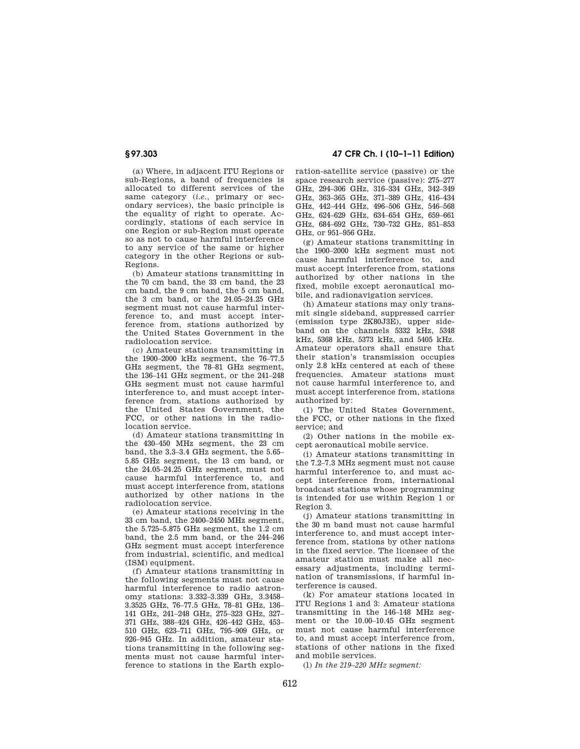(a) Where, in adjacent ITU Regions or sub-Regions, a band of frequencies is allocated to different services of the same category (*i.e.,* primary or secondary services), the basic principle is the equality of right to operate. Accordingly, stations of each service in one Region or sub-Region must operate so as not to cause harmful interference to any service of the same or higher category in the other Regions or sub-Regions.

(b) Amateur stations transmitting in the 70 cm band, the 33 cm band, the 23 cm band, the 9 cm band, the 5 cm band, the 3 cm band, or the 24.05–24.25 GHz segment must not cause harmful interference to, and must accept interference from, stations authorized by the United States Government in the radiolocation service.

(c) Amateur stations transmitting in the 1900–2000 kHz segment, the 76–77.5 GHz segment, the 78–81 GHz segment, the 136–141 GHz segment, or the 241–248 GHz segment must not cause harmful interference to, and must accept interference from, stations authorized by the United States Government, the FCC, or other nations in the radiolocation service.

(d) Amateur stations transmitting in the 430–450 MHz segment, the 23 cm band, the 3.3–3.4 GHz segment, the 5.65– 5.85 GHz segment, the 13 cm band, or the 24.05–24.25 GHz segment, must not cause harmful interference to, and must accept interference from, stations authorized by other nations in the radiolocation service.

(e) Amateur stations receiving in the 33 cm band, the 2400–2450 MHz segment, the 5.725–5.875 GHz segment, the 1.2 cm band, the 2.5 mm band, or the 244–246 GHz segment must accept interference from industrial, scientific, and medical (ISM) equipment.

(f) Amateur stations transmitting in the following segments must not cause harmful interference to radio astronomy stations: 3.332–3.339 GHz, 3.3458– 3.3525 GHz, 76–77.5 GHz, 78–81 GHz, 136– 141 GHz, 241–248 GHz, 275–323 GHz, 327– 371 GHz, 388–424 GHz, 426–442 GHz, 453– 510 GHz, 623–711 GHz, 795–909 GHz, or 926–945 GHz. In addition, amateur stations transmitting in the following segments must not cause harmful interference to stations in the Earth explo-

**§ 97.303 47 CFR Ch. I (10–1–11 Edition)** 

ration-satellite service (passive) or the space research service (passive): 275–277 GHz, 294–306 GHz, 316–334 GHz, 342–349 GHz, 363–365 GHz, 371–389 GHz, 416–434 GHz, 442–444 GHz, 496–506 GHz, 546–568 GHz, 624–629 GHz, 634–654 GHz, 659–661 GHz, 684–692 GHz, 730–732 GHz, 851–853 GHz, or 951–956 GHz.

(g) Amateur stations transmitting in the 1900–2000 kHz segment must not cause harmful interference to, and must accept interference from, stations authorized by other nations in the fixed, mobile except aeronautical mobile, and radionavigation services.

(h) Amateur stations may only transmit single sideband, suppressed carrier (emission type 2K80J3E), upper sideband on the channels 5332 kHz, 5348 kHz, 5368 kHz, 5373 kHz, and 5405 kHz. Amateur operators shall ensure that their station's transmission occupies only 2.8 kHz centered at each of these frequencies. Amateur stations must not cause harmful interference to, and must accept interference from, stations authorized by:

(1) The United States Government, the FCC, or other nations in the fixed service; and

(2) Other nations in the mobile except aeronautical mobile service.

(i) Amateur stations transmitting in the 7.2–7.3 MHz segment must not cause harmful interference to, and must accept interference from, international broadcast stations whose programming is intended for use within Region 1 or Region 3.

(j) Amateur stations transmitting in the 30 m band must not cause harmful interference to, and must accept interference from, stations by other nations in the fixed service. The licensee of the amateur station must make all necessary adjustments, including termination of transmissions, if harmful interference is caused.

(k) For amateur stations located in ITU Regions 1 and 3: Amateur stations transmitting in the 146–148 MHz segment or the 10.00–10.45 GHz segment must not cause harmful interference to, and must accept interference from, stations of other nations in the fixed and mobile services.

(l) *In the 219–220 MHz segment:*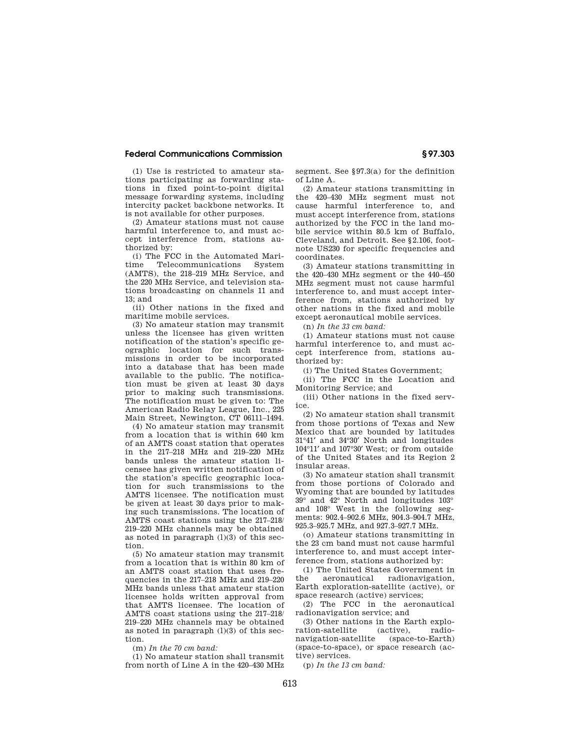(1) Use is restricted to amateur stations participating as forwarding stations in fixed point-to-point digital message forwarding systems, including intercity packet backbone networks. It is not available for other purposes.

(2) Amateur stations must not cause harmful interference to, and must accept interference from, stations authorized by:

(i) The FCC in the Automated Mari-<br>time Telecommunications System Telecommunications (AMTS), the 218–219 MHz Service, and the 220 MHz Service, and television stations broadcasting on channels 11 and 13; and

(ii) Other nations in the fixed and maritime mobile services.

(3) No amateur station may transmit unless the licensee has given written notification of the station's specific geographic location for such transmissions in order to be incorporated into a database that has been made available to the public. The notification must be given at least 30 days prior to making such transmissions. The notification must be given to: The American Radio Relay League, Inc., 225 Main Street, Newington, CT 06111–1494.

(4) No amateur station may transmit from a location that is within 640 km of an AMTS coast station that operates in the 217–218 MHz and 219–220 MHz bands unless the amateur station licensee has given written notification of the station's specific geographic location for such transmissions to the AMTS licensee. The notification must be given at least 30 days prior to making such transmissions. The location of AMTS coast stations using the 217–218/ 219–220 MHz channels may be obtained as noted in paragraph  $(l)(3)$  of this section.

(5) No amateur station may transmit from a location that is within 80 km of an AMTS coast station that uses frequencies in the 217–218 MHz and 219–220 MHz bands unless that amateur station licensee holds written approval from that AMTS licensee. The location of AMTS coast stations using the 217–218/ 219–220 MHz channels may be obtained as noted in paragraph  $(l)(3)$  of this section.

(m) *In the 70 cm band:* 

(1) No amateur station shall transmit from north of Line A in the 420–430 MHz segment. See §97.3(a) for the definition of Line A.

(2) Amateur stations transmitting in the 420–430 MHz segment must not cause harmful interference to, and must accept interference from, stations authorized by the FCC in the land mobile service within 80.5 km of Buffalo, Cleveland, and Detroit. See §2.106, footnote US230 for specific frequencies and coordinates.

(3) Amateur stations transmitting in the 420–430 MHz segment or the 440–450 MHz segment must not cause harmful interference to, and must accept interference from, stations authorized by other nations in the fixed and mobile except aeronautical mobile services.

(n) *In the 33 cm band:* 

(1) Amateur stations must not cause harmful interference to, and must accept interference from, stations authorized by:

(i) The United States Government;

(ii) The FCC in the Location and Monitoring Service; and

(iii) Other nations in the fixed service.

(2) No amateur station shall transmit from those portions of Texas and New Mexico that are bounded by latitudes 31°41′ and 34°30′ North and longitudes 104°11′ and 107°30′ West; or from outside of the United States and its Region 2 insular areas.

(3) No amateur station shall transmit from those portions of Colorado and Wyoming that are bounded by latitudes 39° and 42° North and longitudes 103° and 108° West in the following segments: 902.4–902.6 MHz, 904.3–904.7 MHz, 925.3–925.7 MHz, and 927.3–927.7 MHz.

(o) Amateur stations transmitting in the 23 cm band must not cause harmful interference to, and must accept interference from, stations authorized by:

(1) The United States Government in the aeronautical radionavigation, Earth exploration-satellite (active), or space research (active) services;

(2) The FCC in the aeronautical radionavigation service; and

(3) Other nations in the Earth exploration-satellite (active), radionavigation-satellite (space-to-Earth) (space-to-space), or space research (active) services.

(p) *In the 13 cm band:*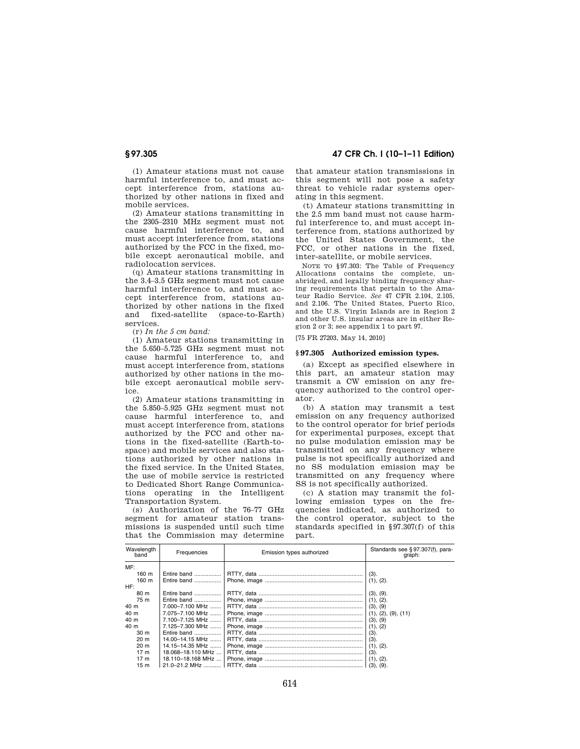(1) Amateur stations must not cause harmful interference to, and must accept interference from, stations authorized by other nations in fixed and mobile services.

(2) Amateur stations transmitting in the 2305–2310 MHz segment must not cause harmful interference to, and must accept interference from, stations authorized by the FCC in the fixed, mobile except aeronautical mobile, and radiolocation services.

(q) Amateur stations transmitting in the 3.4–3.5 GHz segment must not cause harmful interference to, and must accept interference from, stations authorized by other nations in the fixed and fixed-satellite (space-to-Earth) services.

(r) *In the 5 cm band:* 

(1) Amateur stations transmitting in the 5.650–5.725 GHz segment must not cause harmful interference to, and must accept interference from, stations authorized by other nations in the mobile except aeronautical mobile service.

(2) Amateur stations transmitting in the 5.850–5.925 GHz segment must not cause harmful interference to, and must accept interference from, stations authorized by the FCC and other nations in the fixed-satellite (Earth-tospace) and mobile services and also stations authorized by other nations in the fixed service. In the United States, the use of mobile service is restricted to Dedicated Short Range Communications operating in the Intelligent Transportation System.

(s) Authorization of the 76–77 GHz segment for amateur station transmissions is suspended until such time that the Commission may determine

**§ 97.305 47 CFR Ch. I (10–1–11 Edition)** 

that amateur station transmissions in this segment will not pose a safety threat to vehicle radar systems operating in this segment.

(t) Amateur stations transmitting in the 2.5 mm band must not cause harmful interference to, and must accept interference from, stations authorized by the United States Government, the FCC, or other nations in the fixed, inter-satellite, or mobile services.

NOTE TO §97.303: The Table of Frequency Allocations contains the complete, unabridged, and legally binding frequency sharing requirements that pertain to the Amateur Radio Service. *See* 47 CFR 2.104, 2.105, and 2.106. The United States, Puerto Rico, and the U.S. Virgin Islands are in Region 2 and other U.S. insular areas are in either Region 2 or 3; see appendix 1 to part 97.

[75 FR 27203, May 14, 2010]

#### **§ 97.305 Authorized emission types.**

(a) Except as specified elsewhere in this part, an amateur station may transmit a CW emission on any frequency authorized to the control operator.

(b) A station may transmit a test emission on any frequency authorized to the control operator for brief periods for experimental purposes, except that no pulse modulation emission may be transmitted on any frequency where pulse is not specifically authorized and no SS modulation emission may be transmitted on any frequency where SS is not specifically authorized.

(c) A station may transmit the following emission types on the frequencies indicated, as authorized to the control operator, subject to the standards specified in §97.307(f) of this part.

| Wavelength<br>band | Frequencies       | Emission types authorized | Standards see §97.307(f), para-<br>graph: |
|--------------------|-------------------|---------------------------|-------------------------------------------|
| MF:                |                   |                           |                                           |
| 160 m              | Entire band       |                           | (3).                                      |
| 160 m              | Entire band       |                           | (1), (2).                                 |
| HF:                |                   |                           |                                           |
| 80 m               | Entire band       |                           | (3), (9).                                 |
| 75 m               | Entire band       |                           | (1), (2).                                 |
| 40 m               | 7.000-7.100 MHz   |                           | (3), (9)                                  |
| 40 m               | 7.075-7.100 MHz   |                           | (1), (2), (9), (11)                       |
| 40 m               | 7.100-7.125 MHz   |                           | (3), (9)                                  |
| 40 m               | 7.125-7.300 MHz   |                           | (1), (2)                                  |
| 30 m               | Entire band       |                           | (3).                                      |
| 20 <sub>m</sub>    | 14.00-14.15 MHz   |                           | (3).                                      |
| 20 <sub>m</sub>    | 14.15-14.35 MHz   |                           | (1), (2).                                 |
| 17 <sub>m</sub>    | 18.068-18.110 MHz |                           | (3).                                      |
| 17 <sub>m</sub>    | 18.110-18.168 MHz |                           | (1), (2).                                 |
| 15 <sub>m</sub>    |                   |                           |                                           |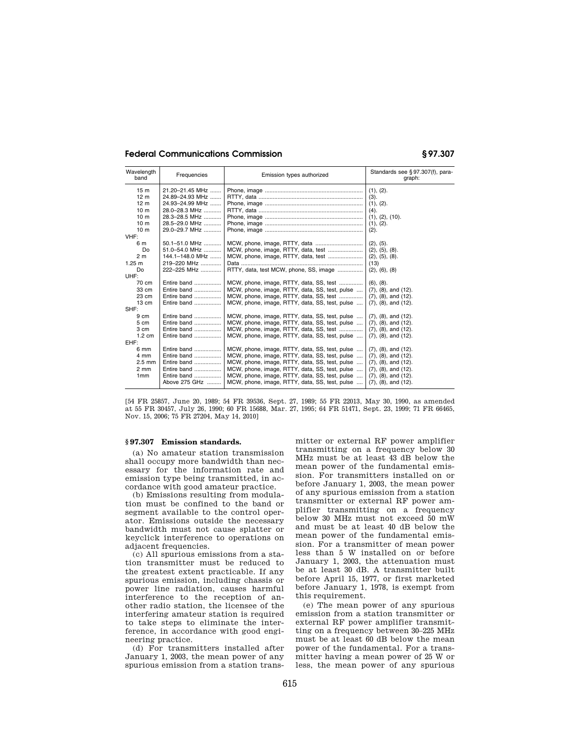| Wavelength<br>band                                                                                                                | Frequencies                                                                                                               | Emission types authorized                                                                                                                                                                                                                                                                                   | Standards see §97.307(f), para-<br>graph:                                                                                                                                                    |
|-----------------------------------------------------------------------------------------------------------------------------------|---------------------------------------------------------------------------------------------------------------------------|-------------------------------------------------------------------------------------------------------------------------------------------------------------------------------------------------------------------------------------------------------------------------------------------------------------|----------------------------------------------------------------------------------------------------------------------------------------------------------------------------------------------|
| 15 <sub>m</sub><br>12 <sub>m</sub><br>12 <sub>m</sub><br>10 <sub>m</sub><br>10 <sub>m</sub><br>10 <sub>m</sub><br>10 <sub>m</sub> | 21.20-21.45 MHz<br>24.89-24.93 MHz<br>24.93-24.99 MHz<br>28.0-28.3 MHz<br>28.3-28.5 MHz<br>28.5-29.0 MHz<br>29.0-29.7 MHz |                                                                                                                                                                                                                                                                                                             | (1), (2).<br>(3).<br>(1), (2).<br>(4).<br>(1), (2), (10).<br>(1), (2).<br>(2).                                                                                                               |
| VHF:<br>6 m<br>D <sub>o</sub><br>2 <sub>m</sub><br>1.25 m                                                                         | 50.1-51.0 MHz<br>51.0-54.0 MHz<br>144.1-148.0 MHz<br>219-220 MHz                                                          | MCW, phone, image, RTTY, data, test<br>MCW, phone, image, RTTY, data, test                                                                                                                                                                                                                                  | (2), (5).<br>(2), (5), (8).<br>(2), (5), (8).<br>(13)                                                                                                                                        |
| Do<br>UHF:                                                                                                                        | 222-225 MHz                                                                                                               | RTTY, data, test MCW, phone, SS, image                                                                                                                                                                                                                                                                      | (2), (6), (8)                                                                                                                                                                                |
| 70 cm<br>33 cm<br>23 cm<br>$13 \text{ cm}$                                                                                        | Entire band<br>Entire band<br>Entire band<br>Entire band                                                                  | MCW, phone, image, RTTY, data, SS, test<br>MCW, phone, image, RTTY, data, SS, test, pulse<br>MCW, phone, image, RTTY, data, SS, test   <br>MCW, phone, image, RTTY, data, SS, test, pulse                                                                                                                   | $(6)$ , $(8)$ .<br>$(7)$ , $(8)$ , and $(12)$ .<br>$(7)$ , $(8)$ , and $(12)$ .<br>$(7)$ , $(8)$ , and $(12)$ .                                                                              |
| SHF:<br>$9 \text{ cm}$<br>5 cm<br>3 cm<br>$1.2 \text{ cm}$                                                                        | Entire band<br>Entire band<br>Entire band<br>Entire band                                                                  | MCW, phone, image, RTTY, data, SS, test, pulse<br>MCW, phone, image, RTTY, data, SS, test, pulse<br>MCW, phone, image, RTTY, data, SS, test<br>MCW, phone, image, RTTY, data, SS, test, pulse                                                                                                               | $(7)$ , $(8)$ , and $(12)$ .<br>$(7)$ , $(8)$ , and $(12)$ .<br>$(7)$ , $(8)$ , and $(12)$ .<br>$(7)$ , $(8)$ , and $(12)$ .                                                                 |
| EHF:<br>6 mm<br>4 mm<br>$2.5$ mm<br>$2 \, \text{mm}$<br>1mm                                                                       | Entire band<br>Entire band<br>Entire band<br>Entire band<br>Entire band<br>Above 275 GHz                                  | MCW, phone, image, RTTY, data, SS, test, pulse<br>MCW, phone, image, RTTY, data, SS, test, pulse   <br>MCW, phone, image, RTTY, data, SS, test, pulse<br>MCW, phone, image, RTTY, data, SS, test, pulse<br>MCW, phone, image, RTTY, data, SS, test, pulse<br>MCW, phone, image, RTTY, data, SS, test, pulse | $(7)$ , $(8)$ , and $(12)$ .<br>$(7)$ , $(8)$ , and $(12)$ .<br>$(7)$ , $(8)$ , and $(12)$ .<br>$(7)$ , $(8)$ , and $(12)$ .<br>$(7)$ , $(8)$ , and $(12)$ .<br>$(7)$ , $(8)$ , and $(12)$ . |

[54 FR 25857, June 20, 1989; 54 FR 39536, Sept. 27, 1989; 55 FR 22013, May 30, 1990, as amended at 55 FR 30457, July 26, 1990; 60 FR 15688, Mar. 27, 1995; 64 FR 51471, Sept. 23, 1999; 71 FR 66465, Nov. 15, 2006; 75 FR 27204, May 14, 2010]

### **§ 97.307 Emission standards.**

(a) No amateur station transmission shall occupy more bandwidth than necessary for the information rate and emission type being transmitted, in accordance with good amateur practice.

(b) Emissions resulting from modulation must be confined to the band or segment available to the control operator. Emissions outside the necessary bandwidth must not cause splatter or keyclick interference to operations on adjacent frequencies.

(c) All spurious emissions from a station transmitter must be reduced to the greatest extent practicable. If any spurious emission, including chassis or power line radiation, causes harmful interference to the reception of another radio station, the licensee of the interfering amateur station is required to take steps to eliminate the interference, in accordance with good engineering practice.

(d) For transmitters installed after January 1, 2003, the mean power of any spurious emission from a station transmitter or external RF power amplifier transmitting on a frequency below 30 MHz must be at least 43 dB below the mean power of the fundamental emission. For transmitters installed on or before January 1, 2003, the mean power of any spurious emission from a station transmitter or external RF power amplifier transmitting on a frequency below 30 MHz must not exceed 50 mW and must be at least 40 dB below the mean power of the fundamental emission. For a transmitter of mean power less than 5 W installed on or before January 1, 2003, the attenuation must be at least 30 dB. A transmitter built before April 15, 1977, or first marketed before January 1, 1978, is exempt from this requirement.

(e) The mean power of any spurious emission from a station transmitter or external RF power amplifier transmitting on a frequency between 30–225 MHz must be at least 60 dB below the mean power of the fundamental. For a transmitter having a mean power of 25 W or less, the mean power of any spurious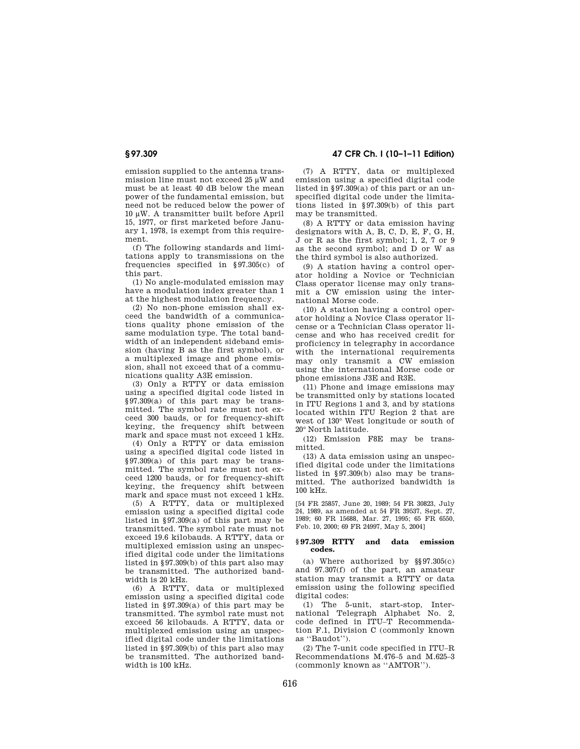emission supplied to the antenna transmission line must not exceed 25 μW and must be at least 40 dB below the mean power of the fundamental emission, but need not be reduced below the power of 10 μW. A transmitter built before April 15, 1977, or first marketed before January 1, 1978, is exempt from this requirement.

(f) The following standards and limitations apply to transmissions on the frequencies specified in §97.305(c) of this part.

(1) No angle-modulated emission may have a modulation index greater than 1 at the highest modulation frequency.

(2) No non-phone emission shall exceed the bandwidth of a communications quality phone emission of the same modulation type. The total bandwidth of an independent sideband emission (having B as the first symbol), or a multiplexed image and phone emission, shall not exceed that of a communications quality A3E emission.

(3) Only a RTTY or data emission using a specified digital code listed in §97.309(a) of this part may be transmitted. The symbol rate must not exceed 300 bauds, or for frequency-shift keying, the frequency shift between mark and space must not exceed 1 kHz.

(4) Only a RTTY or data emission using a specified digital code listed in §97.309(a) of this part may be transmitted. The symbol rate must not exceed 1200 bauds, or for frequency-shift keying, the frequency shift between mark and space must not exceed 1 kHz.

(5) A RTTY, data or multiplexed emission using a specified digital code listed in §97.309(a) of this part may be transmitted. The symbol rate must not exceed 19.6 kilobauds. A RTTY, data or multiplexed emission using an unspecified digital code under the limitations listed in §97.309(b) of this part also may be transmitted. The authorized bandwidth is 20 kHz.

(6) A RTTY, data or multiplexed emission using a specified digital code listed in §97.309(a) of this part may be transmitted. The symbol rate must not exceed 56 kilobauds. A RTTY, data or multiplexed emission using an unspecified digital code under the limitations listed in §97.309(b) of this part also may be transmitted. The authorized bandwidth is 100 kHz.

# **§ 97.309 47 CFR Ch. I (10–1–11 Edition)**

(7) A RTTY, data or multiplexed emission using a specified digital code listed in §97.309(a) of this part or an unspecified digital code under the limitations listed in §97.309(b) of this part may be transmitted.

(8) A RTTY or data emission having designators with A, B, C, D, E, F, G, H, J or R as the first symbol; 1, 2, 7 or 9 as the second symbol; and D or W as the third symbol is also authorized.

(9) A station having a control operator holding a Novice or Technician Class operator license may only transmit a CW emission using the international Morse code.

(10) A station having a control operator holding a Novice Class operator license or a Technician Class operator license and who has received credit for proficiency in telegraphy in accordance with the international requirements may only transmit a CW emission using the international Morse code or phone emissions J3E and R3E.

(11) Phone and image emissions may be transmitted only by stations located in ITU Regions 1 and 3, and by stations located within ITU Region 2 that are west of 130° West longitude or south of 20° North latitude.

(12) Emission F8E may be transmitted.

(13) A data emission using an unspecified digital code under the limitations listed in §97.309(b) also may be transmitted. The authorized bandwidth is 100 kHz.

[54 FR 25857, June 20, 1989; 54 FR 30823, July 24, 1989, as amended at 54 FR 39537, Sept. 27, 1989; 60 FR 15688, Mar. 27, 1995; 65 FR 6550, Feb. 10, 2000; 69 FR 24997, May 5, 2004]

#### **§ 97.309 RTTY and data emission codes.**

(a) Where authorized by §§97.305(c) and 97.307(f) of the part, an amateur station may transmit a RTTY or data emission using the following specified digital codes:

(1) The 5-unit, start-stop, International Telegraph Alphabet No. 2, code defined in ITU–T Recommendation F.1, Division C (commonly known as ''Baudot'').

(2) The 7-unit code specified in ITU–R Recommendations M.476–5 and M.625–3 (commonly known as ''AMTOR'').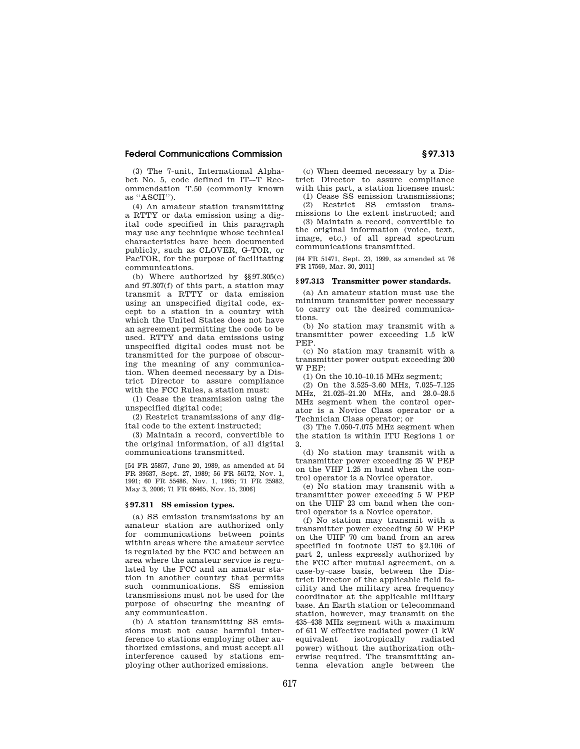(3) The 7-unit, International Alphabet No. 5, code defined in IT–-T Recommendation T.50 (commonly known as ''ASCII'').

(4) An amateur station transmitting a RTTY or data emission using a digital code specified in this paragraph may use any technique whose technical characteristics have been documented publicly, such as CLOVER, G-TOR, or PacTOR, for the purpose of facilitating communications.

(b) Where authorized by §§97.305(c) and 97.307(f) of this part, a station may transmit a RTTY or data emission using an unspecified digital code, except to a station in a country with which the United States does not have an agreement permitting the code to be used. RTTY and data emissions using unspecified digital codes must not be transmitted for the purpose of obscuring the meaning of any communication. When deemed necessary by a District Director to assure compliance with the FCC Rules, a station must:

(1) Cease the transmission using the unspecified digital code;

(2) Restrict transmissions of any digital code to the extent instructed;

(3) Maintain a record, convertible to the original information, of all digital communications transmitted.

[54 FR 25857, June 20, 1989, as amended at 54 FR 39537, Sept. 27, 1989; 56 FR 56172, Nov. 1, 1991; 60 FR 55486, Nov. 1, 1995; 71 FR 25982, May 3, 2006; 71 FR 66465, Nov. 15, 2006]

#### **§ 97.311 SS emission types.**

(a) SS emission transmissions by an amateur station are authorized only for communications between points within areas where the amateur service is regulated by the FCC and between an area where the amateur service is regulated by the FCC and an amateur station in another country that permits such communications. SS emission transmissions must not be used for the purpose of obscuring the meaning of any communication.

(b) A station transmitting SS emissions must not cause harmful interference to stations employing other authorized emissions, and must accept all interference caused by stations employing other authorized emissions.

(c) When deemed necessary by a District Director to assure compliance with this part, a station licensee must:

(1) Cease SS emission transmissions; (2) Restrict SS emission transmissions to the extent instructed; and

(3) Maintain a record, convertible to the original information (voice, text, image, etc.) of all spread spectrum communications transmitted.

[64 FR 51471, Sept. 23, 1999, as amended at 76 FR 17569, Mar. 30, 2011]

#### **§ 97.313 Transmitter power standards.**

(a) An amateur station must use the minimum transmitter power necessary to carry out the desired communications.

(b) No station may transmit with a transmitter power exceeding 1.5 kW PEP.

(c) No station may transmit with a transmitter power output exceeding 200 W PEP:

(1) On the 10.10–10.15 MHz segment;

(2) On the 3.525–3.60 MHz, 7.025–7.125 MHz, 21.025–21.20 MHz, and 28.0–28.5 MHz segment when the control operator is a Novice Class operator or a Technician Class operator; or

(3) The 7.050-7.075 MHz segment when the station is within ITU Regions 1 or 3.

(d) No station may transmit with a transmitter power exceeding 25 W PEP on the VHF 1.25 m band when the control operator is a Novice operator.

(e) No station may transmit with a transmitter power exceeding 5 W PEP on the UHF 23 cm band when the control operator is a Novice operator.

(f) No station may transmit with a transmitter power exceeding 50 W PEP on the UHF 70 cm band from an area specified in footnote US7 to §2.106 of part 2, unless expressly authorized by the FCC after mutual agreement, on a case-by-case basis, between the District Director of the applicable field facility and the military area frequency coordinator at the applicable military base. An Earth station or telecommand station, however, may transmit on the 435–438 MHz segment with a maximum of 611 W effective radiated power (1 kW<br>equivalent isotropically radiated equivalent isotropically power) without the authorization otherwise required. The transmitting antenna elevation angle between the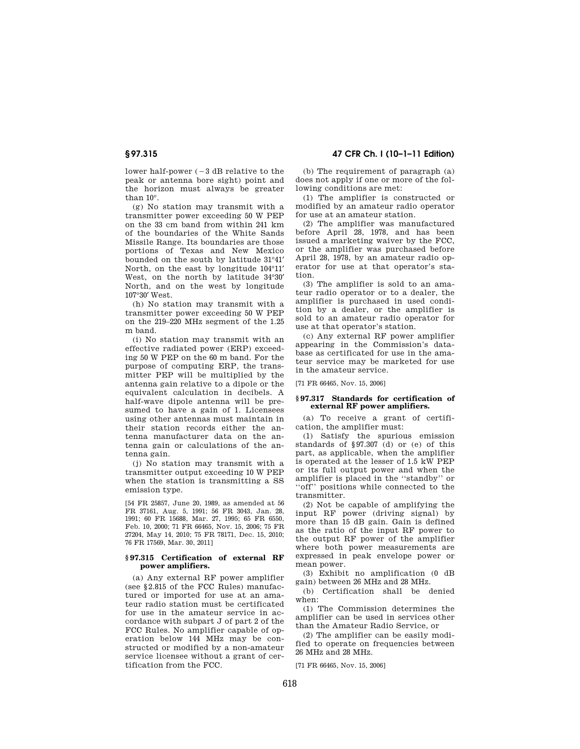lower half-power  $(-3$  dB relative to the peak or antenna bore sight) point and the horizon must always be greater than 10°.

(g) No station may transmit with a transmitter power exceeding 50 W PEP on the 33 cm band from within 241 km of the boundaries of the White Sands Missile Range. Its boundaries are those portions of Texas and New Mexico bounded on the south by latitude 31°41′ North, on the east by longitude 104°11′ West, on the north by latitude 34°30′ North, and on the west by longitude 107°30′ West.

(h) No station may transmit with a transmitter power exceeding 50 W PEP on the 219–220 MHz segment of the 1.25 m band.

(i) No station may transmit with an effective radiated power (ERP) exceeding 50 W PEP on the 60 m band. For the purpose of computing ERP, the transmitter PEP will be multiplied by the antenna gain relative to a dipole or the equivalent calculation in decibels. A half-wave dipole antenna will be presumed to have a gain of 1. Licensees using other antennas must maintain in their station records either the antenna manufacturer data on the antenna gain or calculations of the antenna gain.

(j) No station may transmit with a transmitter output exceeding 10 W PEP when the station is transmitting a SS emission type.

[54 FR 25857, June 20, 1989, as amended at 56 FR 37161, Aug. 5, 1991; 56 FR 3043, Jan. 28, 1991; 60 FR 15688, Mar. 27, 1995; 65 FR 6550, Feb. 10, 2000; 71 FR 66465, Nov. 15, 2006; 75 FR 27204, May 14, 2010; 75 FR 78171, Dec. 15, 2010; 76 FR 17569, Mar. 30, 2011]

#### **§ 97.315 Certification of external RF power amplifiers.**

(a) Any external RF power amplifier (see §2.815 of the FCC Rules) manufactured or imported for use at an amateur radio station must be certificated for use in the amateur service in accordance with subpart J of part 2 of the FCC Rules. No amplifier capable of operation below 144 MHz may be constructed or modified by a non-amateur service licensee without a grant of certification from the FCC.

**§ 97.315 47 CFR Ch. I (10–1–11 Edition)** 

(b) The requirement of paragraph (a) does not apply if one or more of the following conditions are met:

(1) The amplifier is constructed or modified by an amateur radio operator for use at an amateur station.

(2) The amplifier was manufactured before April 28, 1978, and has been issued a marketing waiver by the FCC, or the amplifier was purchased before April 28, 1978, by an amateur radio operator for use at that operator's station.

(3) The amplifier is sold to an amateur radio operator or to a dealer, the amplifier is purchased in used condition by a dealer, or the amplifier is sold to an amateur radio operator for use at that operator's station.

(c) Any external RF power amplifier appearing in the Commission's database as certificated for use in the amateur service may be marketed for use in the amateur service.

[71 FR 66465, Nov. 15, 2006]

### **§ 97.317 Standards for certification of external RF power amplifiers.**

(a) To receive a grant of certification, the amplifier must:

(1) Satisfy the spurious emission standards of §97.307 (d) or (e) of this part, as applicable, when the amplifier is operated at the lesser of 1.5 kW PEP or its full output power and when the amplifier is placed in the ''standby'' or ''off'' positions while connected to the transmitter.

(2) Not be capable of amplifying the input RF power (driving signal) by more than 15 dB gain. Gain is defined as the ratio of the input RF power to the output RF power of the amplifier where both power measurements are expressed in peak envelope power or mean power.

(3) Exhibit no amplification (0 dB gain) between 26 MHz and 28 MHz.

(b) Certification shall be denied when:

(1) The Commission determines the amplifier can be used in services other than the Amateur Radio Service, or

(2) The amplifier can be easily modified to operate on frequencies between 26 MHz and 28 MHz.

[71 FR 66465, Nov. 15, 2006]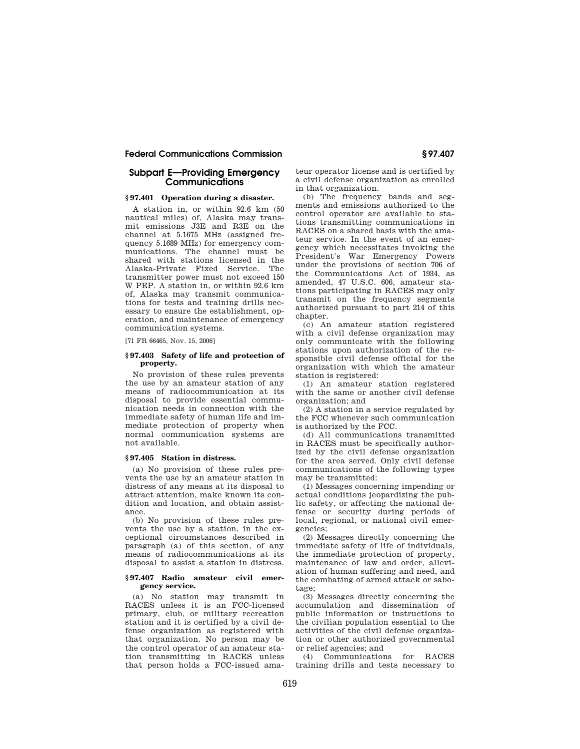# **Subpart E—Providing Emergency Communications**

# **§ 97.401 Operation during a disaster.**

A station in, or within 92.6 km (50 nautical miles) of, Alaska may transmit emissions J3E and R3E on the channel at 5.1675 MHz (assigned frequency 5.1689 MHz) for emergency communications. The channel must be shared with stations licensed in the Alaska-Private Fixed Service. The transmitter power must not exceed 150 W PEP. A station in, or within 92.6 km of, Alaska may transmit communications for tests and training drills necessary to ensure the establishment, operation, and maintenance of emergency communication systems.

[71 FR 66465, Nov. 15, 2006]

## **§ 97.403 Safety of life and protection of property.**

No provision of these rules prevents the use by an amateur station of any means of radiocommunication at its disposal to provide essential communication needs in connection with the immediate safety of human life and immediate protection of property when normal communication systems are not available.

## **§ 97.405 Station in distress.**

(a) No provision of these rules prevents the use by an amateur station in distress of any means at its disposal to attract attention, make known its condition and location, and obtain assistance.

(b) No provision of these rules prevents the use by a station, in the exceptional circumstances described in paragraph (a) of this section, of any means of radiocommunications at its disposal to assist a station in distress.

## **§ 97.407 Radio amateur civil emergency service.**

(a) No station may transmit in RACES unless it is an FCC-licensed primary, club, or military recreation station and it is certified by a civil defense organization as registered with that organization. No person may be the control operator of an amateur station transmitting in RACES unless that person holds a FCC-issued amateur operator license and is certified by a civil defense organization as enrolled in that organization.

(b) The frequency bands and segments and emissions authorized to the control operator are available to stations transmitting communications in RACES on a shared basis with the amateur service. In the event of an emergency which necessitates invoking the President's War Emergency Powers under the provisions of section 706 of the Communications Act of 1934, as amended, 47 U.S.C. 606, amateur stations participating in RACES may only transmit on the frequency segments authorized pursuant to part 214 of this chapter.

(c) An amateur station registered with a civil defense organization may only communicate with the following stations upon authorization of the responsible civil defense official for the organization with which the amateur station is registered:

(1) An amateur station registered with the same or another civil defense organization; and

(2) A station in a service regulated by the FCC whenever such communication is authorized by the FCC.

(d) All communications transmitted in RACES must be specifically authorized by the civil defense organization for the area served. Only civil defense communications of the following types may be transmitted:

(1) Messages concerning impending or actual conditions jeopardizing the public safety, or affecting the national defense or security during periods of local, regional, or national civil emergencies;

(2) Messages directly concerning the immediate safety of life of individuals, the immediate protection of property, maintenance of law and order, alleviation of human suffering and need, and the combating of armed attack or sabotage;

(3) Messages directly concerning the accumulation and dissemination of public information or instructions to the civilian population essential to the activities of the civil defense organization or other authorized governmental or relief agencies; and

(4) Communications for RACES training drills and tests necessary to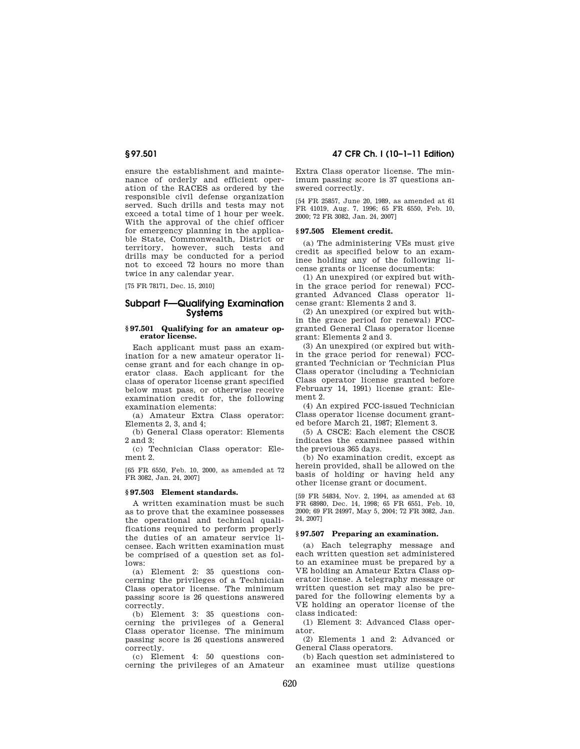ensure the establishment and maintenance of orderly and efficient operation of the RACES as ordered by the responsible civil defense organization served. Such drills and tests may not exceed a total time of 1 hour per week. With the approval of the chief officer for emergency planning in the applicable State, Commonwealth, District or territory, however, such tests and drills may be conducted for a period not to exceed 72 hours no more than twice in any calendar year.

[75 FR 78171, Dec. 15, 2010]

# **Subpart F—Qualifying Examination Systems**

### **§ 97.501 Qualifying for an amateur operator license.**

Each applicant must pass an examination for a new amateur operator license grant and for each change in operator class. Each applicant for the class of operator license grant specified below must pass, or otherwise receive examination credit for, the following examination elements:

(a) Amateur Extra Class operator: Elements 2, 3, and 4;

(b) General Class operator: Elements  $2$  and  $3$ 

(c) Technician Class operator: Element 2.

[65 FR 6550, Feb. 10, 2000, as amended at 72 FR 3082, Jan. 24, 2007]

## **§ 97.503 Element standards.**

A written examination must be such as to prove that the examinee possesses the operational and technical qualifications required to perform properly the duties of an amateur service licensee. Each written examination must be comprised of a question set as follows:

(a) Element 2: 35 questions concerning the privileges of a Technician Class operator license. The minimum passing score is 26 questions answered correctly.

(b) Element 3: 35 questions concerning the privileges of a General Class operator license. The minimum passing score is 26 questions answered correctly.

(c) Element 4: 50 questions concerning the privileges of an Amateur

**§ 97.501 47 CFR Ch. I (10–1–11 Edition)** 

Extra Class operator license. The minimum passing score is 37 questions answered correctly.

[54 FR 25857, June 20, 1989, as amended at 61 FR 41019, Aug. 7, 1996; 65 FR 6550, Feb. 10, 2000; 72 FR 3082, Jan. 24, 2007]

### **§ 97.505 Element credit.**

(a) The administering VEs must give credit as specified below to an examinee holding any of the following license grants or license documents:

(1) An unexpired (or expired but within the grace period for renewal) FCCgranted Advanced Class operator license grant: Elements 2 and 3.

(2) An unexpired (or expired but within the grace period for renewal) FCCgranted General Class operator license grant: Elements 2 and 3.

(3) An unexpired (or expired but within the grace period for renewal) FCCgranted Technician or Technician Plus Class operator (including a Technician Class operator license granted before February 14, 1991) license grant: Element 2.

(4) An expired FCC-issued Technician Class operator license document granted before March 21, 1987; Element 3.

(5) A CSCE: Each element the CSCE indicates the examinee passed within the previous 365 days.

(b) No examination credit, except as herein provided, shall be allowed on the basis of holding or having held any other license grant or document.

[59 FR 54834, Nov. 2, 1994, as amended at 63 FR 68980, Dec. 14, 1998; 65 FR 6551, Feb. 10, 2000; 69 FR 24997, May 5, 2004; 72 FR 3082, Jan. 24, 2007]

#### **§ 97.507 Preparing an examination.**

(a) Each telegraphy message and each written question set administered to an examinee must be prepared by a VE holding an Amateur Extra Class operator license. A telegraphy message or written question set may also be prepared for the following elements by a VE holding an operator license of the class indicated:

(1) Element 3: Advanced Class operator.

(2) Elements 1 and 2: Advanced or General Class operators.

(b) Each question set administered to an examinee must utilize questions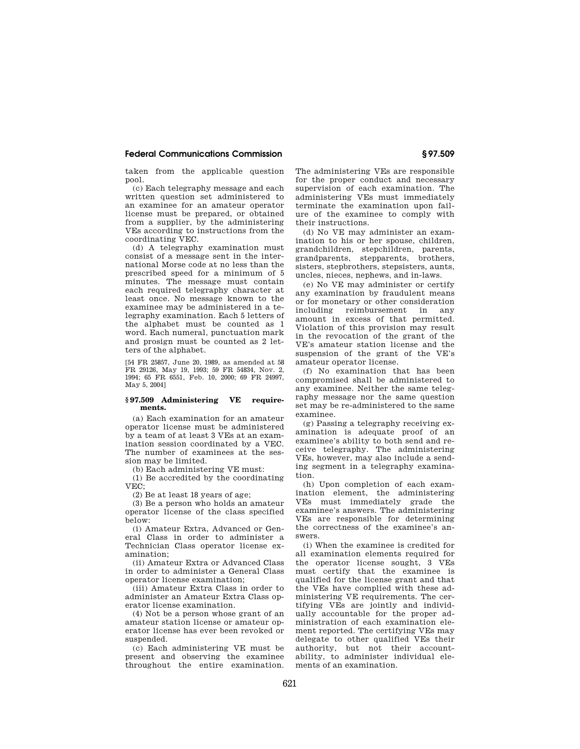taken from the applicable question pool.

(c) Each telegraphy message and each written question set administered to an examinee for an amateur operator license must be prepared, or obtained from a supplier, by the administering VEs according to instructions from the coordinating VEC.

(d) A telegraphy examination must consist of a message sent in the international Morse code at no less than the prescribed speed for a minimum of 5 minutes. The message must contain each required telegraphy character at least once. No message known to the examinee may be administered in a telegraphy examination. Each 5 letters of the alphabet must be counted as 1 word. Each numeral, punctuation mark and prosign must be counted as 2 letters of the alphabet.

[54 FR 25857, June 20, 1989, as amended at 58 FR 29126, May 19, 1993; 59 FR 54834, Nov. 2, 1994; 65 FR 6551, Feb. 10, 2000; 69 FR 24997, May 5, 2004]

# **§ 97.509 Administering VE requirements.**

(a) Each examination for an amateur operator license must be administered by a team of at least 3 VEs at an examination session coordinated by a VEC. The number of examinees at the session may be limited.

(b) Each administering VE must:

(1) Be accredited by the coordinating VEC;

(2) Be at least 18 years of age;

(3) Be a person who holds an amateur operator license of the class specified below:

(i) Amateur Extra, Advanced or General Class in order to administer a Technician Class operator license examination;

(ii) Amateur Extra or Advanced Class in order to administer a General Class operator license examination;

(iii) Amateur Extra Class in order to administer an Amateur Extra Class operator license examination.

(4) Not be a person whose grant of an amateur station license or amateur operator license has ever been revoked or suspended.

(c) Each administering VE must be present and observing the examinee throughout the entire examination. The administering VEs are responsible for the proper conduct and necessary supervision of each examination. The administering VEs must immediately terminate the examination upon failure of the examinee to comply with their instructions.

(d) No VE may administer an examination to his or her spouse, children, grandchildren, stepchildren, parents, grandparents, stepparents, brothers, sisters, stepbrothers, stepsisters, aunts, uncles, nieces, nephews, and in-laws.

(e) No VE may administer or certify any examination by fraudulent means or for monetary or other consideration<br>including reimbursement in any including reimbursement in amount in excess of that permitted. Violation of this provision may result in the revocation of the grant of the VE's amateur station license and the suspension of the grant of the VE's amateur operator license.

(f) No examination that has been compromised shall be administered to any examinee. Neither the same telegraphy message nor the same question set may be re-administered to the same examinee.

(g) Passing a telegraphy receiving examination is adequate proof of an examinee's ability to both send and receive telegraphy. The administering VEs, however, may also include a sending segment in a telegraphy examination.

(h) Upon completion of each examination element, the administering VEs must immediately grade the examinee's answers. The administering VEs are responsible for determining the correctness of the examinee's answers.

(i) When the examinee is credited for all examination elements required for the operator license sought, 3 VEs must certify that the examinee is qualified for the license grant and that the VEs have complied with these administering VE requirements. The certifying VEs are jointly and individually accountable for the proper administration of each examination element reported. The certifying VEs may delegate to other qualified VEs their authority, but not their accountability, to administer individual elements of an examination.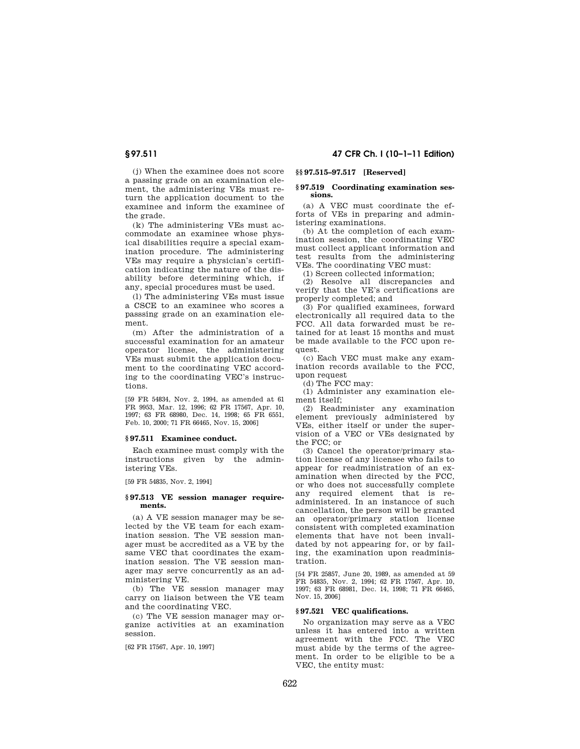**§ 97.511 47 CFR Ch. I (10–1–11 Edition)** 

(j) When the examinee does not score a passing grade on an examination element, the administering VEs must return the application document to the examinee and inform the examinee of the grade.

(k) The administering VEs must accommodate an examinee whose physical disabilities require a special examination procedure. The administering VEs may require a physician's certification indicating the nature of the disability before determining which, if any, special procedures must be used.

(l) The administering VEs must issue a CSCE to an examinee who scores a passsing grade on an examination element.

(m) After the administration of a successful examination for an amateur operator license, the administering VEs must submit the application document to the coordinating VEC according to the coordinating VEC's instructions.

[59 FR 54834, Nov. 2, 1994, as amended at 61 FR 9953, Mar. 12, 1996; 62 FR 17567, Apr. 10, 1997; 63 FR 68980, Dec. 14, 1998; 65 FR 6551, Feb. 10, 2000; 71 FR 66465, Nov. 15, 2006]

#### **§ 97.511 Examinee conduct.**

Each examinee must comply with the instructions given by the administering VEs.

[59 FR 54835, Nov. 2, 1994]

## **§ 97.513 VE session manager requirements.**

(a) A VE session manager may be selected by the VE team for each examination session. The VE session manager must be accredited as a VE by the same VEC that coordinates the examination session. The VE session manager may serve concurrently as an administering VE.

(b) The VE session manager may carry on liaison between the VE team and the coordinating VEC.

(c) The VE session manager may organize activities at an examination session.

[62 FR 17567, Apr. 10, 1997]

## **§§ 97.515–97.517 [Reserved]**

#### **§ 97.519 Coordinating examination sessions.**

(a) A VEC must coordinate the efforts of VEs in preparing and administering examinations.

(b) At the completion of each examination session, the coordinating VEC must collect applicant information and test results from the administering VEs. The coordinating VEC must:

(1) Screen collected information;

(2) Resolve all discrepancies and verify that the VE's certifications are properly completed; and

(3) For qualified examinees, forward electronically all required data to the FCC. All data forwarded must be retained for at least 15 months and must be made available to the FCC upon request.

(c) Each VEC must make any examination records available to the FCC, upon request

(d) The FCC may:

(1) Administer any examination element itself;

(2) Readminister any examination element previously administered by VEs, either itself or under the supervision of a VEC or VEs designated by the FCC; or

(3) Cancel the operator/primary station license of any licensee who fails to appear for readministration of an examination when directed by the FCC, or who does not successfully complete any required element that is readministered. In an instancce of such cancellation, the person will be granted an operator/primary station license consistent with completed examination elements that have not been invalidated by not appearing for, or by failing, the examination upon readministration.

[54 FR 25857, June 20, 1989, as amended at 59 FR 54835, Nov. 2, 1994; 62 FR 17567, Apr. 10, 1997; 63 FR 68981, Dec. 14, 1998; 71 FR 66465, Nov. 15, 2006]

# **§ 97.521 VEC qualifications.**

No organization may serve as a VEC unless it has entered into a written agreement with the FCC. The VEC must abide by the terms of the agreement. In order to be eligible to be a VEC, the entity must: